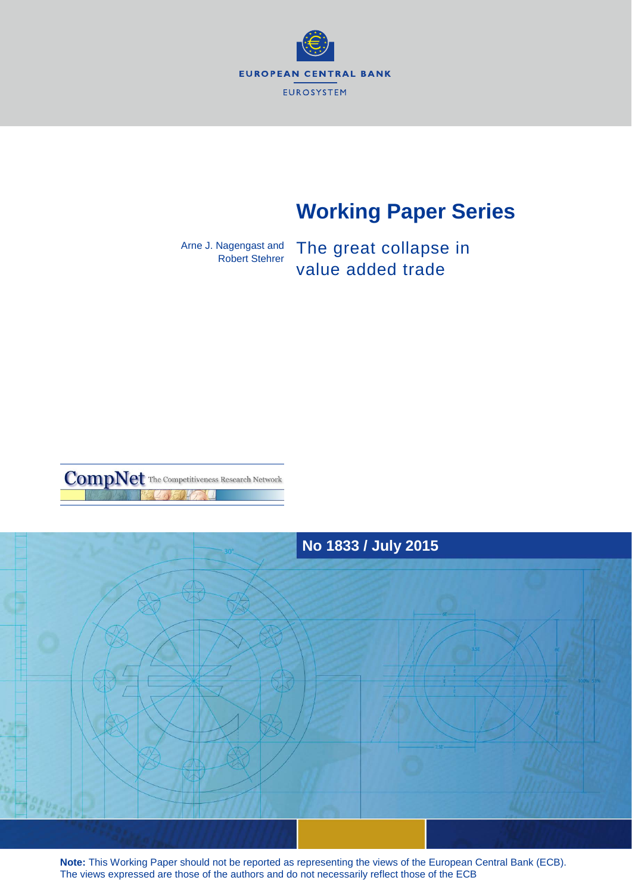

# **Working Paper Series**

Arne J. Nagengast and Robert Stehrer

The great collapse in value added trade





**Note:** This Working Paper should not be reported as representing the views of the European Central Bank (ECB). The views expressed are those of the authors and do not necessarily reflect those of the ECB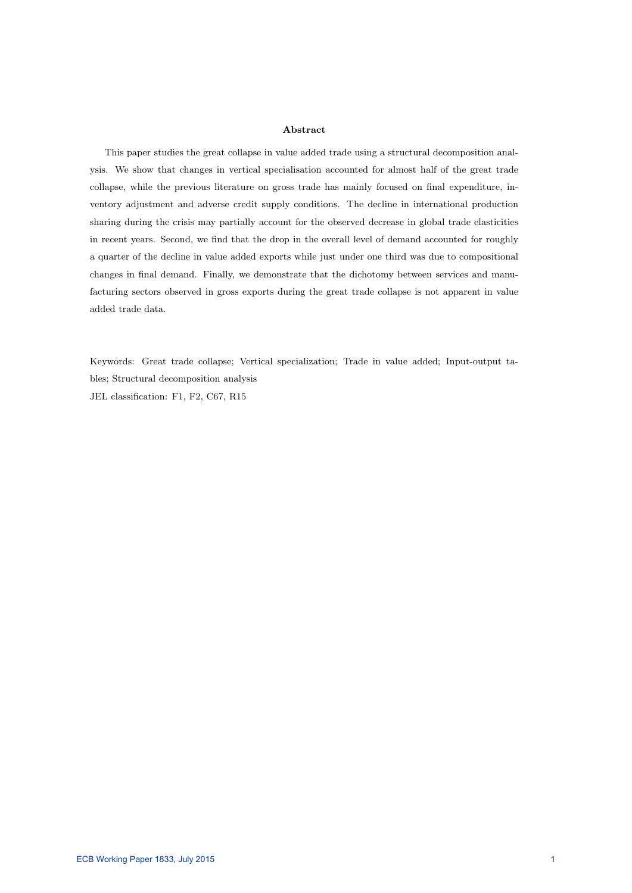#### Abstract

This paper studies the great collapse in value added trade using a structural decomposition analysis. We show that changes in vertical specialisation accounted for almost half of the great trade collapse, while the previous literature on gross trade has mainly focused on final expenditure, inventory adjustment and adverse credit supply conditions. The decline in international production sharing during the crisis may partially account for the observed decrease in global trade elasticities in recent years. Second, we find that the drop in the overall level of demand accounted for roughly a quarter of the decline in value added exports while just under one third was due to compositional changes in final demand. Finally, we demonstrate that the dichotomy between services and manufacturing sectors observed in gross exports during the great trade collapse is not apparent in value added trade data.

Keywords: Great trade collapse; Vertical specialization; Trade in value added; Input-output tables; Structural decomposition analysis JEL classification: F1, F2, C67, R15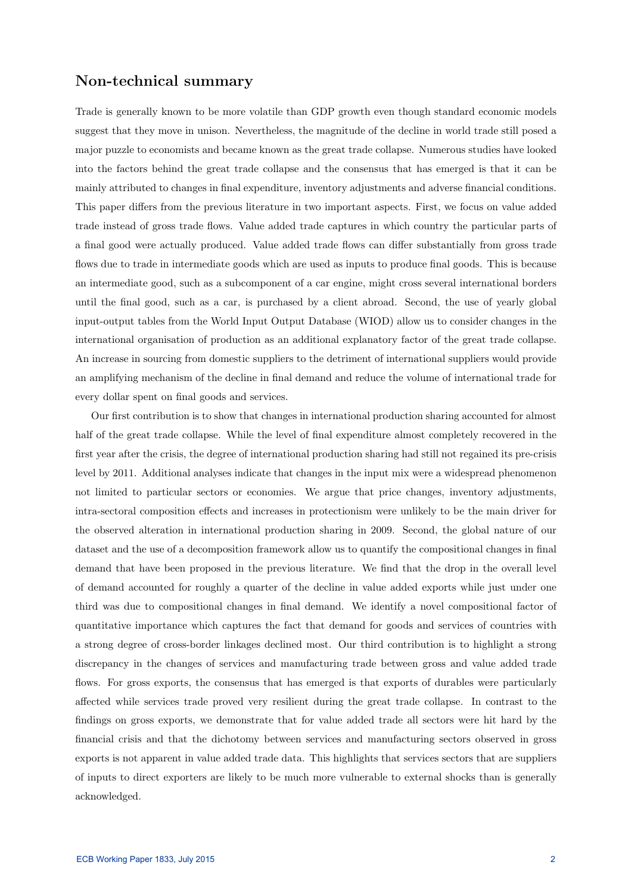## Non-technical summary

Trade is generally known to be more volatile than GDP growth even though standard economic models suggest that they move in unison. Nevertheless, the magnitude of the decline in world trade still posed a major puzzle to economists and became known as the great trade collapse. Numerous studies have looked into the factors behind the great trade collapse and the consensus that has emerged is that it can be mainly attributed to changes in final expenditure, inventory adjustments and adverse financial conditions. This paper differs from the previous literature in two important aspects. First, we focus on value added trade instead of gross trade flows. Value added trade captures in which country the particular parts of a final good were actually produced. Value added trade flows can differ substantially from gross trade flows due to trade in intermediate goods which are used as inputs to produce final goods. This is because an intermediate good, such as a subcomponent of a car engine, might cross several international borders until the final good, such as a car, is purchased by a client abroad. Second, the use of yearly global input-output tables from the World Input Output Database (WIOD) allow us to consider changes in the international organisation of production as an additional explanatory factor of the great trade collapse. An increase in sourcing from domestic suppliers to the detriment of international suppliers would provide an amplifying mechanism of the decline in final demand and reduce the volume of international trade for every dollar spent on final goods and services.

Our first contribution is to show that changes in international production sharing accounted for almost half of the great trade collapse. While the level of final expenditure almost completely recovered in the first year after the crisis, the degree of international production sharing had still not regained its pre-crisis level by 2011. Additional analyses indicate that changes in the input mix were a widespread phenomenon not limited to particular sectors or economies. We argue that price changes, inventory adjustments, intra-sectoral composition effects and increases in protectionism were unlikely to be the main driver for the observed alteration in international production sharing in 2009. Second, the global nature of our dataset and the use of a decomposition framework allow us to quantify the compositional changes in final demand that have been proposed in the previous literature. We find that the drop in the overall level of demand accounted for roughly a quarter of the decline in value added exports while just under one third was due to compositional changes in final demand. We identify a novel compositional factor of quantitative importance which captures the fact that demand for goods and services of countries with a strong degree of cross-border linkages declined most. Our third contribution is to highlight a strong discrepancy in the changes of services and manufacturing trade between gross and value added trade flows. For gross exports, the consensus that has emerged is that exports of durables were particularly affected while services trade proved very resilient during the great trade collapse. In contrast to the findings on gross exports, we demonstrate that for value added trade all sectors were hit hard by the financial crisis and that the dichotomy between services and manufacturing sectors observed in gross exports is not apparent in value added trade data. This highlights that services sectors that are suppliers of inputs to direct exporters are likely to be much more vulnerable to external shocks than is generally acknowledged.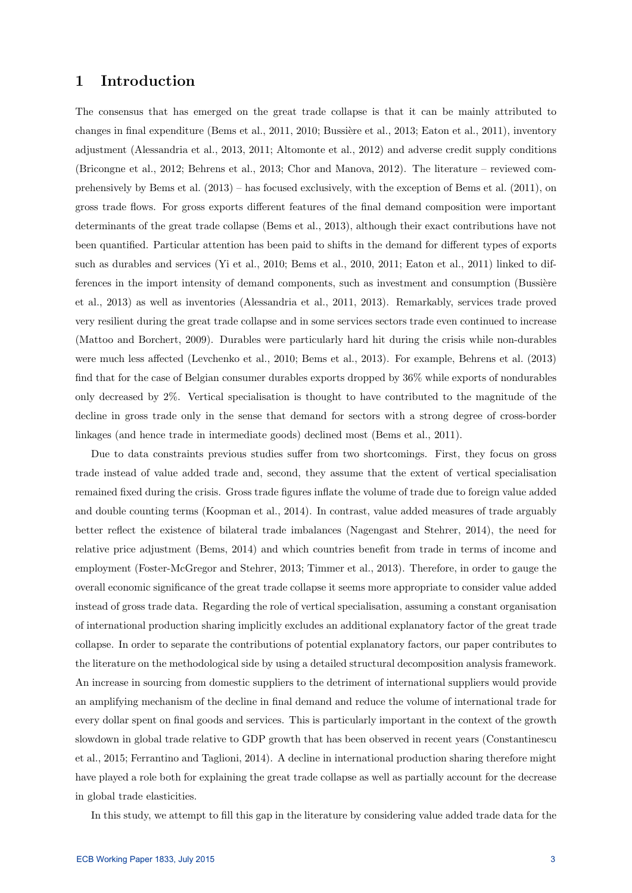# 1 Introduction

The consensus that has emerged on the great trade collapse is that it can be mainly attributed to changes in final expenditure (Bems et al., 2011, 2010; Bussière et al., 2013; Eaton et al., 2011), inventory adjustment (Alessandria et al., 2013, 2011; Altomonte et al., 2012) and adverse credit supply conditions (Bricongne et al., 2012; Behrens et al., 2013; Chor and Manova, 2012). The literature – reviewed comprehensively by Bems et al. (2013) – has focused exclusively, with the exception of Bems et al. (2011), on gross trade flows. For gross exports different features of the final demand composition were important determinants of the great trade collapse (Bems et al., 2013), although their exact contributions have not been quantified. Particular attention has been paid to shifts in the demand for different types of exports such as durables and services (Yi et al., 2010; Bems et al., 2010, 2011; Eaton et al., 2011) linked to differences in the import intensity of demand components, such as investment and consumption (Bussière et al., 2013) as well as inventories (Alessandria et al., 2011, 2013). Remarkably, services trade proved very resilient during the great trade collapse and in some services sectors trade even continued to increase (Mattoo and Borchert, 2009). Durables were particularly hard hit during the crisis while non-durables were much less affected (Levchenko et al., 2010; Bems et al., 2013). For example, Behrens et al. (2013) find that for the case of Belgian consumer durables exports dropped by 36% while exports of nondurables only decreased by 2%. Vertical specialisation is thought to have contributed to the magnitude of the decline in gross trade only in the sense that demand for sectors with a strong degree of cross-border linkages (and hence trade in intermediate goods) declined most (Bems et al., 2011).

Due to data constraints previous studies suffer from two shortcomings. First, they focus on gross trade instead of value added trade and, second, they assume that the extent of vertical specialisation remained fixed during the crisis. Gross trade figures inflate the volume of trade due to foreign value added and double counting terms (Koopman et al., 2014). In contrast, value added measures of trade arguably better reflect the existence of bilateral trade imbalances (Nagengast and Stehrer, 2014), the need for relative price adjustment (Bems, 2014) and which countries benefit from trade in terms of income and employment (Foster-McGregor and Stehrer, 2013; Timmer et al., 2013). Therefore, in order to gauge the overall economic significance of the great trade collapse it seems more appropriate to consider value added instead of gross trade data. Regarding the role of vertical specialisation, assuming a constant organisation of international production sharing implicitly excludes an additional explanatory factor of the great trade collapse. In order to separate the contributions of potential explanatory factors, our paper contributes to the literature on the methodological side by using a detailed structural decomposition analysis framework. An increase in sourcing from domestic suppliers to the detriment of international suppliers would provide an amplifying mechanism of the decline in final demand and reduce the volume of international trade for every dollar spent on final goods and services. This is particularly important in the context of the growth slowdown in global trade relative to GDP growth that has been observed in recent years (Constantinescu et al., 2015; Ferrantino and Taglioni, 2014). A decline in international production sharing therefore might have played a role both for explaining the great trade collapse as well as partially account for the decrease in global trade elasticities.

In this study, we attempt to fill this gap in the literature by considering value added trade data for the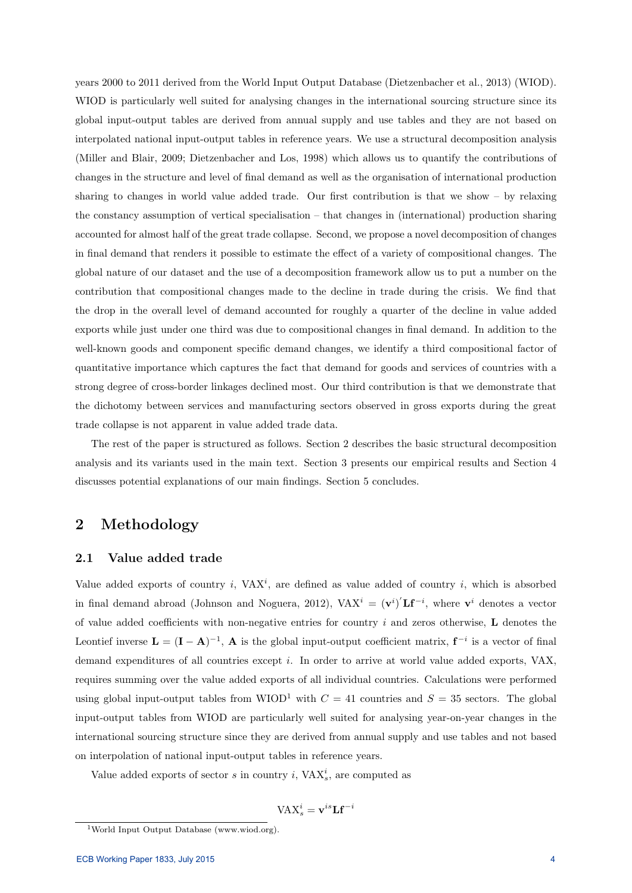years 2000 to 2011 derived from the World Input Output Database (Dietzenbacher et al., 2013) (WIOD). WIOD is particularly well suited for analysing changes in the international sourcing structure since its global input-output tables are derived from annual supply and use tables and they are not based on interpolated national input-output tables in reference years. We use a structural decomposition analysis (Miller and Blair, 2009; Dietzenbacher and Los, 1998) which allows us to quantify the contributions of changes in the structure and level of final demand as well as the organisation of international production sharing to changes in world value added trade. Our first contribution is that we show – by relaxing the constancy assumption of vertical specialisation – that changes in (international) production sharing accounted for almost half of the great trade collapse. Second, we propose a novel decomposition of changes in final demand that renders it possible to estimate the effect of a variety of compositional changes. The global nature of our dataset and the use of a decomposition framework allow us to put a number on the contribution that compositional changes made to the decline in trade during the crisis. We find that the drop in the overall level of demand accounted for roughly a quarter of the decline in value added exports while just under one third was due to compositional changes in final demand. In addition to the well-known goods and component specific demand changes, we identify a third compositional factor of quantitative importance which captures the fact that demand for goods and services of countries with a strong degree of cross-border linkages declined most. Our third contribution is that we demonstrate that the dichotomy between services and manufacturing sectors observed in gross exports during the great trade collapse is not apparent in value added trade data.

The rest of the paper is structured as follows. Section 2 describes the basic structural decomposition analysis and its variants used in the main text. Section 3 presents our empirical results and Section 4 discusses potential explanations of our main findings. Section 5 concludes.

# 2 Methodology

### 2.1 Value added trade

Value added exports of country i,  $VAX^i$ , are defined as value added of country i, which is absorbed in final demand abroad (Johnson and Noguera, 2012), VAX<sup>i</sup> =  $(v^i)' L f^{-i}$ , where  $v^i$  denotes a vector of value added coefficients with non-negative entries for country  $i$  and zeros otherwise, L denotes the Leontief inverse  $\mathbf{L} = (\mathbf{I} - \mathbf{A})^{-1}$ ,  $\mathbf{A}$  is the global input-output coefficient matrix,  $\mathbf{f}^{-i}$  is a vector of final demand expenditures of all countries except i. In order to arrive at world value added exports, VAX, requires summing over the value added exports of all individual countries. Calculations were performed using global input-output tables from WIOD<sup>1</sup> with  $C = 41$  countries and  $S = 35$  sectors. The global input-output tables from WIOD are particularly well suited for analysing year-on-year changes in the international sourcing structure since they are derived from annual supply and use tables and not based on interpolation of national input-output tables in reference years.

Value added exports of sector s in country i,  $\text{VAX}_s^i$ , are computed as

$$
\mathrm{VAX}^i_s = \mathbf{v}^{is} \mathbf{Lf}^{-i}
$$

<sup>1</sup>World Input Output Database (www.wiod.org).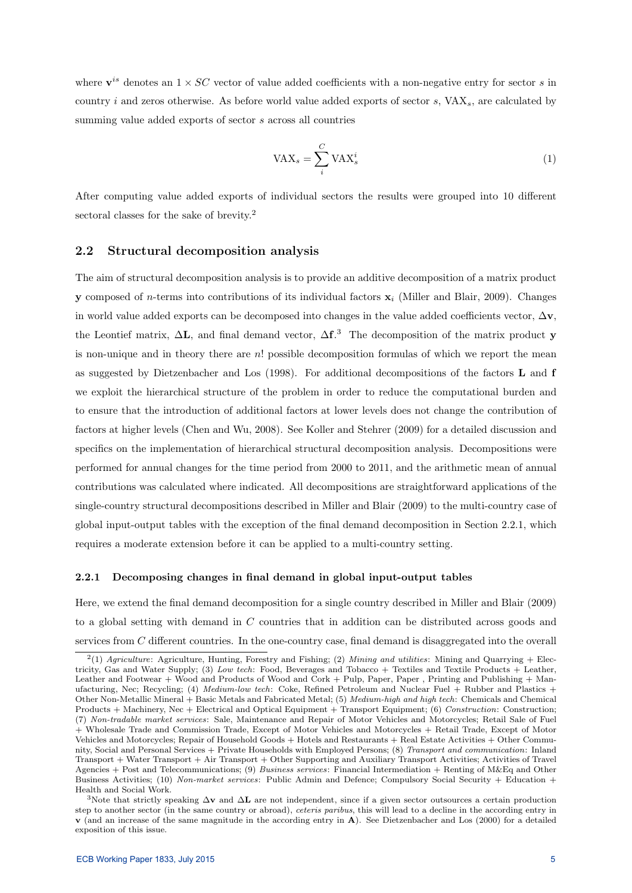where  $\mathbf{v}^{is}$  denotes an  $1 \times SC$  vector of value added coefficients with a non-negative entry for sector s in country i and zeros otherwise. As before world value added exports of sector  $s$ ,  $VAX_s$ , are calculated by summing value added exports of sector s across all countries

$$
VAX_s = \sum_i^C VAX_s^i \tag{1}
$$

After computing value added exports of individual sectors the results were grouped into 10 different sectoral classes for the sake of brevity.<sup>2</sup>

## 2.2 Structural decomposition analysis

The aim of structural decomposition analysis is to provide an additive decomposition of a matrix product **y** composed of *n*-terms into contributions of its individual factors  $\mathbf{x}_i$  (Miller and Blair, 2009). Changes in world value added exports can be decomposed into changes in the value added coefficients vector,  $\Delta v$ , the Leontief matrix,  $\Delta L$ , and final demand vector,  $\Delta f$ .<sup>3</sup> The decomposition of the matrix product y is non-unique and in theory there are  $n!$  possible decomposition formulas of which we report the mean as suggested by Dietzenbacher and Los (1998). For additional decompositions of the factors L and f we exploit the hierarchical structure of the problem in order to reduce the computational burden and to ensure that the introduction of additional factors at lower levels does not change the contribution of factors at higher levels (Chen and Wu, 2008). See Koller and Stehrer (2009) for a detailed discussion and specifics on the implementation of hierarchical structural decomposition analysis. Decompositions were performed for annual changes for the time period from 2000 to 2011, and the arithmetic mean of annual contributions was calculated where indicated. All decompositions are straightforward applications of the single-country structural decompositions described in Miller and Blair (2009) to the multi-country case of global input-output tables with the exception of the final demand decomposition in Section 2.2.1, which requires a moderate extension before it can be applied to a multi-country setting.

#### 2.2.1 Decomposing changes in final demand in global input-output tables

Here, we extend the final demand decomposition for a single country described in Miller and Blair (2009) to a global setting with demand in C countries that in addition can be distributed across goods and services from C different countries. In the one-country case, final demand is disaggregated into the overall

<sup>&</sup>lt;sup>2</sup>(1) Agriculture: Agriculture, Hunting, Forestry and Fishing; (2) Mining and utilities: Mining and Quarrying + Electricity, Gas and Water Supply; (3) Low tech: Food, Beverages and Tobacco + Textiles and Textile Products + Leather, Leather and Footwear + Wood and Products of Wood and Cork + Pulp, Paper, Paper, Printing and Publishing + Manufacturing, Nec; Recycling; (4) Medium-low tech: Coke, Refined Petroleum and Nuclear Fuel + Rubber and Plastics + Other Non-Metallic Mineral + Basic Metals and Fabricated Metal; (5) Medium-high and high tech: Chemicals and Chemical Products + Machinery, Nec + Electrical and Optical Equipment + Transport Equipment; (6) Construction: Construction; (7) Non-tradable market services: Sale, Maintenance and Repair of Motor Vehicles and Motorcycles; Retail Sale of Fuel + Wholesale Trade and Commission Trade, Except of Motor Vehicles and Motorcycles + Retail Trade, Except of Motor Vehicles and Motorcycles; Repair of Household Goods + Hotels and Restaurants + Real Estate Activities + Other Community, Social and Personal Services + Private Households with Employed Persons; (8) Transport and communication: Inland Transport + Water Transport + Air Transport + Other Supporting and Auxiliary Transport Activities; Activities of Travel Agencies + Post and Telecommunications; (9) Business services: Financial Intermediation + Renting of M&Eq and Other Business Activities; (10) Non-market services: Public Admin and Defence; Compulsory Social Security + Education + Health and Social Work.

<sup>3</sup>Note that strictly speaking  $\Delta v$  and  $\Delta L$  are not independent, since if a given sector outsources a certain production step to another sector (in the same country or abroad), *ceteris paribus*, this will lead to a decline in the according entry in v (and an increase of the same magnitude in the according entry in A). See Dietzenbacher and Los (2000) for a detailed exposition of this issue.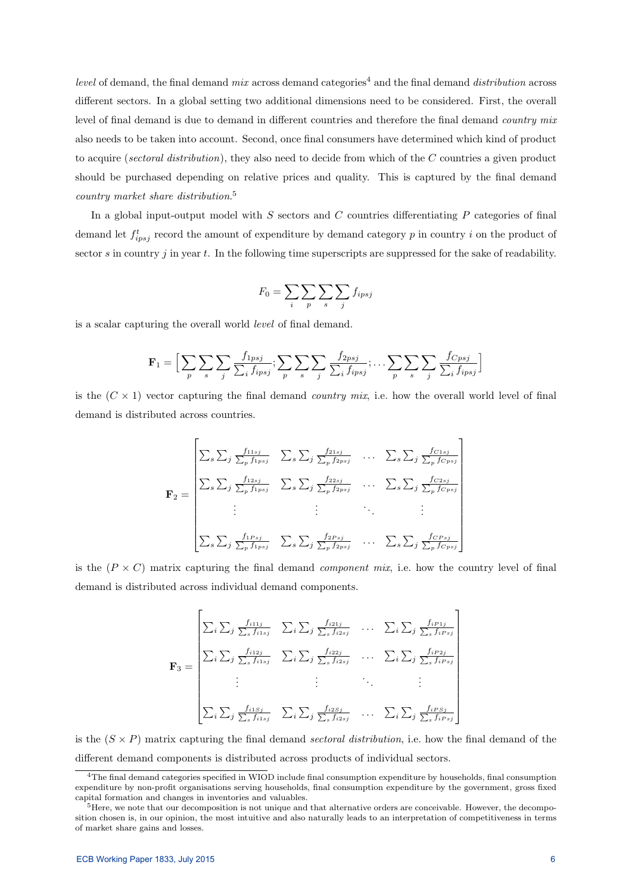level of demand, the final demand mix across demand categories<sup>4</sup> and the final demand distribution across different sectors. In a global setting two additional dimensions need to be considered. First, the overall level of final demand is due to demand in different countries and therefore the final demand *country mix* also needs to be taken into account. Second, once final consumers have determined which kind of product to acquire (sectoral distribution), they also need to decide from which of the C countries a given product should be purchased depending on relative prices and quality. This is captured by the final demand country market share distribution. 5

In a global input-output model with  $S$  sectors and  $C$  countries differentiating  $P$  categories of final demand let  $f_{ipsj}^t$  record the amount of expenditure by demand category p in country i on the product of sector s in country j in year  $t$ . In the following time superscripts are suppressed for the sake of readability.

$$
F_0 = \sum_i \sum_p \sum_s \sum_j f_{ipsj}
$$

is a scalar capturing the overall world level of final demand.

$$
\mathbf{F}_1 = \Big[ \sum_p \sum_s \sum_j \frac{f_{1psj}}{\sum_i f_{ipsj}}; \sum_p \sum_s \sum_j \frac{f_{2psj}}{\sum_i f_{ipsj}}; \dots \sum_p \sum_s \sum_j \frac{f_{Cpsj}}{\sum_i f_{ipsj}} \Big]
$$

is the  $(C \times 1)$  vector capturing the final demand *country mix*, i.e. how the overall world level of final demand is distributed across countries.

$$
\mathbf{F}_2 = \begin{bmatrix} \sum_s \sum_j \frac{f_{11sj}}{\sum_p f_{1psj}} & \sum_s \sum_j \frac{f_{21sj}}{\sum_p f_{2psj}} & \dots & \sum_s \sum_j \frac{f_{C1sj}}{\sum_p f_{Cpsj}} \\ \sum_s \sum_j \frac{f_{12sj}}{\sum_p f_{1psj}} & \sum_s \sum_j \frac{f_{22sj}}{\sum_p f_{2psj}} & \dots & \sum_s \sum_j \frac{f_{C2sj}}{\sum_p f_{Cpsj}} \\ \vdots & \vdots & \ddots & \vdots \\ \sum_s \sum_j \frac{f_{1Psj}}{\sum_p f_{1psj}} & \sum_s \sum_j \frac{f_{2Psj}}{\sum_p f_{2psj}} & \dots & \sum_s \sum_j \frac{f_{CPsj}}{\sum_p f_{Cpsj}} \end{bmatrix}
$$

is the  $(P \times C)$  matrix capturing the final demand *component mix*, i.e. how the country level of final demand is distributed across individual demand components.

$$
\mathbf{F}_3 = \begin{bmatrix} \sum_i \sum_j \frac{f_{i11j}}{\sum_s f_{i1sj}} & \sum_i \sum_j \frac{f_{i21j}}{\sum_s f_{i2sj}} & \cdots & \sum_i \sum_j \frac{f_{iP1j}}{\sum_s f_{iPsj}} \\ \sum_i \sum_j \frac{f_{i12j}}{\sum_s f_{i1sj}} & \sum_i \sum_j \frac{f_{i22j}}{\sum_s f_{i2sj}} & \cdots & \sum_i \sum_j \frac{f_{iP2j}}{\sum_s f_{iPsj}} \\ \vdots & \vdots & \ddots & \vdots \\ \sum_i \sum_j \frac{f_{i1Sj}}{\sum_s f_{i1sj}} & \sum_i \sum_j \frac{f_{i2Sj}}{\sum_s f_{i2sj}} & \cdots & \sum_i \sum_j \frac{f_{iPSj}}{\sum_s f_{iPsj}} \end{bmatrix}
$$

is the  $(S \times P)$  matrix capturing the final demand sectoral distribution, i.e. how the final demand of the different demand components is distributed across products of individual sectors.

<sup>4</sup>The final demand categories specified in WIOD include final consumption expenditure by households, final consumption expenditure by non-profit organisations serving households, final consumption expenditure by the government, gross fixed capital formation and changes in inventories and valuables.

<sup>&</sup>lt;sup>5</sup>Here, we note that our decomposition is not unique and that alternative orders are conceivable. However, the decomposition chosen is, in our opinion, the most intuitive and also naturally leads to an interpretation of competitiveness in terms of market share gains and losses.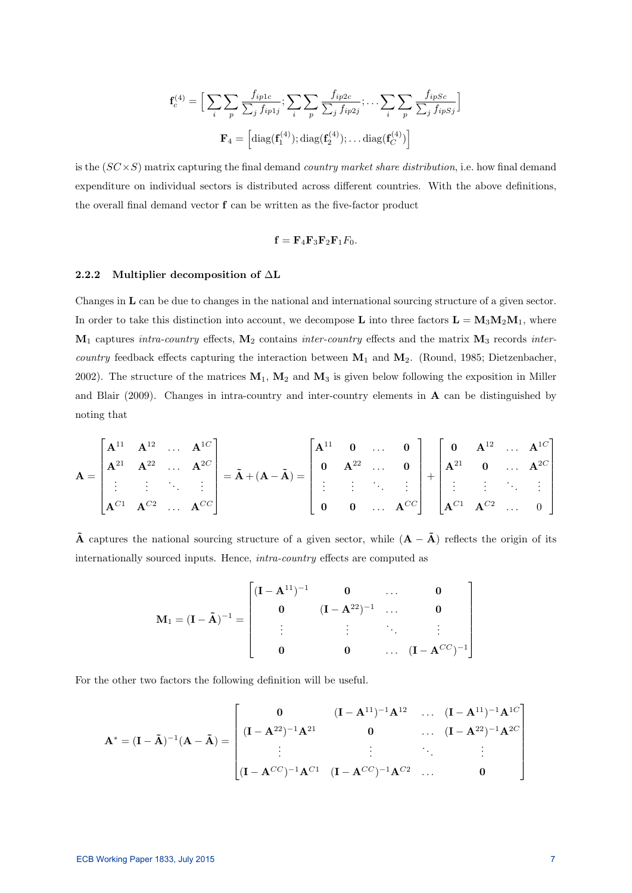$$
\mathbf{f}_c^{(4)} = \Big[ \sum_i \sum_p \frac{f_{ip1c}}{\sum_j f_{ip1j}}; \sum_i \sum_p \frac{f_{ip2c}}{\sum_j f_{ip2j}}; \dots \sum_i \sum_p \frac{f_{ipSc}}{\sum_j f_{ipSj}} \Big]
$$

$$
\mathbf{F}_4 = \Big[ \text{diag}(\mathbf{f}_1^{(4)}); \text{diag}(\mathbf{f}_2^{(4)}); \dots \text{diag}(\mathbf{f}_C^{(4)}) \Big]
$$

is the  $(SC \times S)$  matrix capturing the final demand *country market share distribution*, i.e. how final demand expenditure on individual sectors is distributed across different countries. With the above definitions, the overall final demand vector f can be written as the five-factor product

$$
\mathbf{f} = \mathbf{F}_4 \mathbf{F}_3 \mathbf{F}_2 \mathbf{F}_1 F_0.
$$

#### 2.2.2 Multiplier decomposition of ∆L

Changes in L can be due to changes in the national and international sourcing structure of a given sector. In order to take this distinction into account, we decompose L into three factors  $\mathbf{L} = \mathbf{M}_3 \mathbf{M}_2 \mathbf{M}_1$ , where  $M_1$  captures intra-country effects,  $M_2$  contains inter-country effects and the matrix  $M_3$  records intercountry feedback effects capturing the interaction between  $M_1$  and  $M_2$ . (Round, 1985; Dietzenbacher, 2002). The structure of the matrices  $M_1$ ,  $M_2$  and  $M_3$  is given below following the exposition in Miller and Blair (2009). Changes in intra-country and inter-country elements in  $\bf{A}$  can be distinguished by noting that

$$
A = \begin{bmatrix} A^{11} & A^{12} & \dots & A^{1C} \\ A^{21} & A^{22} & \dots & A^{2C} \\ \vdots & \vdots & \ddots & \vdots \\ A^{C1} & A^{C2} & \dots & A^{CC} \end{bmatrix} = \tilde{A} + (A - \tilde{A}) = \begin{bmatrix} A^{11} & 0 & \dots & 0 \\ 0 & A^{22} & \dots & 0 \\ \vdots & \vdots & \ddots & \vdots \\ 0 & 0 & \dots & A^{CC} \end{bmatrix} + \begin{bmatrix} 0 & A^{12} & \dots & A^{1C} \\ A^{21} & 0 & \dots & A^{2C} \\ \vdots & \vdots & \ddots & \vdots \\ A^{C1} & A^{C2} & \dots & 0 \end{bmatrix}
$$

 $\tilde{A}$  captures the national sourcing structure of a given sector, while  $(A - \tilde{A})$  reflects the origin of its internationally sourced inputs. Hence, intra-country effects are computed as

$$
\mathbf{M}_1 = (\mathbf{I} - \tilde{\mathbf{A}})^{-1} = \begin{bmatrix} (\mathbf{I} - \mathbf{A}^{11})^{-1} & 0 & \dots & 0 \\ 0 & (\mathbf{I} - \mathbf{A}^{22})^{-1} & \dots & 0 \\ \vdots & \vdots & \ddots & \vdots \\ 0 & 0 & \dots & (\mathbf{I} - \mathbf{A}^{CC})^{-1} \end{bmatrix}
$$

For the other two factors the following definition will be useful.

$$
\mathbf{A}^{*} = (\mathbf{I} - \tilde{\mathbf{A}})^{-1} (\mathbf{A} - \tilde{\mathbf{A}}) = \begin{bmatrix} \mathbf{0} & (\mathbf{I} - \mathbf{A}^{11})^{-1} \mathbf{A}^{12} & \dots & (\mathbf{I} - \mathbf{A}^{11})^{-1} \mathbf{A}^{1C} \\ (\mathbf{I} - \mathbf{A}^{22})^{-1} \mathbf{A}^{21} & \mathbf{0} & \dots & (\mathbf{I} - \mathbf{A}^{22})^{-1} \mathbf{A}^{2C} \\ \vdots & \vdots & \ddots & \vdots \\ (\mathbf{I} - \mathbf{A}^{CC})^{-1} \mathbf{A}^{C1} & (\mathbf{I} - \mathbf{A}^{CC})^{-1} \mathbf{A}^{C2} & \dots & \mathbf{0} \end{bmatrix}
$$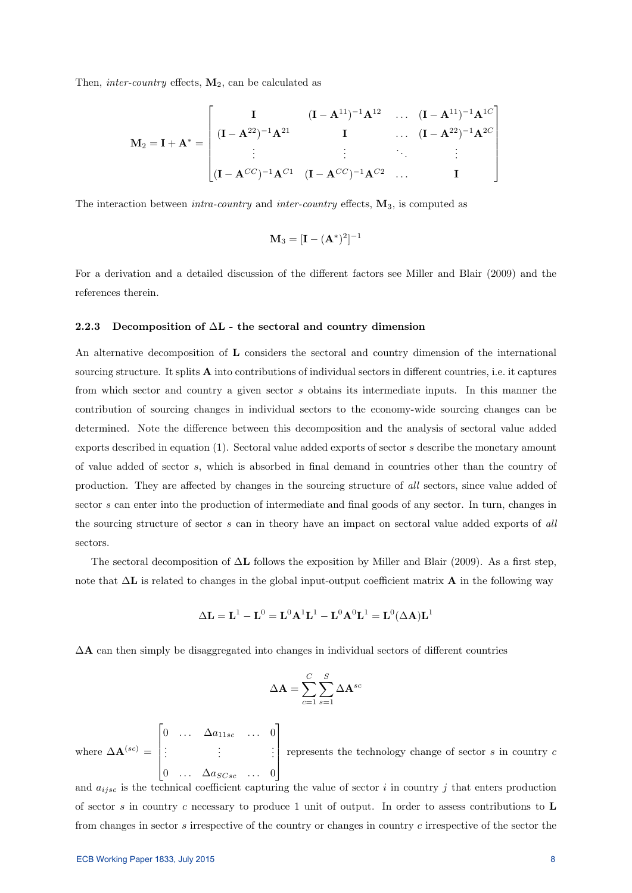Then, inter-country effects,  $M_2$ , can be calculated as

$$
\mathbf{M}_2 = \mathbf{I} + \mathbf{A}^* = \begin{bmatrix} \mathbf{I} & (\mathbf{I} - \mathbf{A}^{11})^{-1} \mathbf{A}^{12} & \dots & (\mathbf{I} - \mathbf{A}^{11})^{-1} \mathbf{A}^{1C} \\ (\mathbf{I} - \mathbf{A}^{22})^{-1} \mathbf{A}^{21} & \mathbf{I} & \dots & (\mathbf{I} - \mathbf{A}^{22})^{-1} \mathbf{A}^{2C} \\ \vdots & \vdots & \ddots & \vdots \\ (\mathbf{I} - \mathbf{A}^{CC})^{-1} \mathbf{A}^{C1} & (\mathbf{I} - \mathbf{A}^{CC})^{-1} \mathbf{A}^{C2} & \dots & \mathbf{I} \end{bmatrix}
$$

The interaction between *intra-country* and *inter-country* effects,  $M_3$ , is computed as

$$
\mathbf{M}_3 = [\mathbf{I} - (\mathbf{A}^*)^2]^{-1}
$$

For a derivation and a detailed discussion of the different factors see Miller and Blair (2009) and the references therein.

#### 2.2.3 Decomposition of  $\Delta L$  - the sectoral and country dimension

An alternative decomposition of L considers the sectoral and country dimension of the international sourcing structure. It splits A into contributions of individual sectors in different countries, i.e. it captures from which sector and country a given sector s obtains its intermediate inputs. In this manner the contribution of sourcing changes in individual sectors to the economy-wide sourcing changes can be determined. Note the difference between this decomposition and the analysis of sectoral value added exports described in equation (1). Sectoral value added exports of sector s describe the monetary amount of value added of sector s, which is absorbed in final demand in countries other than the country of production. They are affected by changes in the sourcing structure of all sectors, since value added of sector s can enter into the production of intermediate and final goods of any sector. In turn, changes in the sourcing structure of sector s can in theory have an impact on sectoral value added exports of all sectors.

The sectoral decomposition of  $\Delta L$  follows the exposition by Miller and Blair (2009). As a first step, note that  $\Delta L$  is related to changes in the global input-output coefficient matrix A in the following way

$$
\Delta \mathbf{L} = \mathbf{L}^1 - \mathbf{L}^0 = \mathbf{L}^0 \mathbf{A}^1 \mathbf{L}^1 - \mathbf{L}^0 \mathbf{A}^0 \mathbf{L}^1 = \mathbf{L}^0 (\Delta \mathbf{A}) \mathbf{L}^1
$$

 $\Delta A$  can then simply be disaggregated into changes in individual sectors of different countries

$$
\Delta \mathbf{A} = \sum_{c=1}^{C} \sum_{s=1}^{S} \Delta \mathbf{A}^{sc}
$$

where  $\Delta \mathbf{A}^{(sc)} =$  $\lceil$  0 ...  $\Delta a_{11sc}$  ... 0 . . . . . . . . . 0 ...  $\Delta a_{SCsc}$  ... 0 1  $\overline{\phantom{a}}$ represents the technology change of sector  $s$  in country  $c$ 

and  $a_{iisc}$  is the technical coefficient capturing the value of sector i in country j that enters production of sector s in country c necessary to produce 1 unit of output. In order to assess contributions to  $\bf{L}$ from changes in sector s irrespective of the country or changes in country c irrespective of the sector the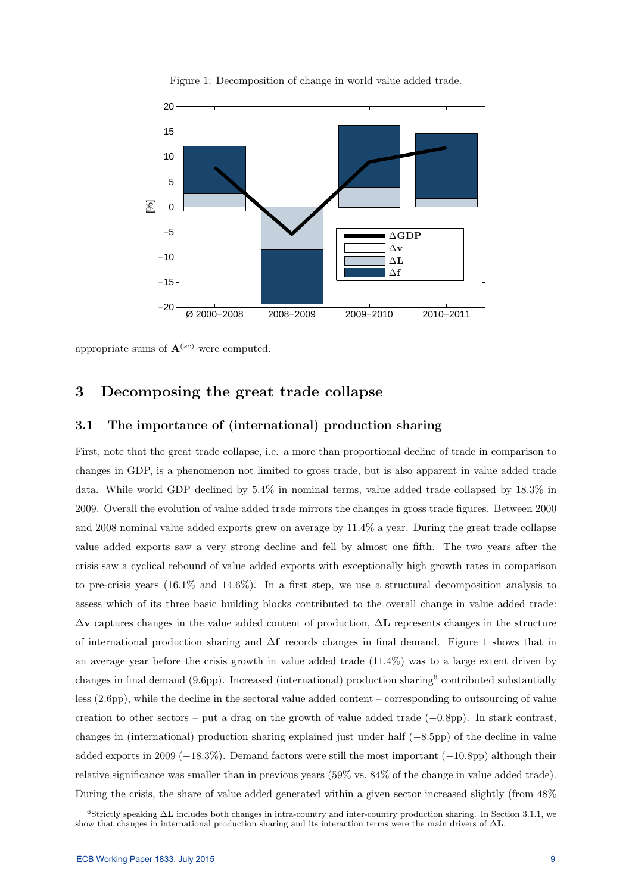

Figure 1: Decomposition of change in world value added trade.

appropriate sums of  $\mathbf{A}^{(sc)}$  were computed.

## 3 Decomposing the great trade collapse

## 3.1 The importance of (international) production sharing

First, note that the great trade collapse, i.e. a more than proportional decline of trade in comparison to changes in GDP, is a phenomenon not limited to gross trade, but is also apparent in value added trade data. While world GDP declined by 5.4% in nominal terms, value added trade collapsed by 18.3% in 2009. Overall the evolution of value added trade mirrors the changes in gross trade figures. Between 2000 and 2008 nominal value added exports grew on average by 11.4% a year. During the great trade collapse value added exports saw a very strong decline and fell by almost one fifth. The two years after the crisis saw a cyclical rebound of value added exports with exceptionally high growth rates in comparison to pre-crisis years (16.1% and 14.6%). In a first step, we use a structural decomposition analysis to assess which of its three basic building blocks contributed to the overall change in value added trade:  $\Delta$ v captures changes in the value added content of production,  $\Delta$ L represents changes in the structure of international production sharing and ∆f records changes in final demand. Figure 1 shows that in an average year before the crisis growth in value added trade (11.4%) was to a large extent driven by changes in final demand (9.6pp). Increased (international) production sharing<sup>6</sup> contributed substantially less (2.6pp), while the decline in the sectoral value added content – corresponding to outsourcing of value creation to other sectors – put a drag on the growth of value added trade (−0.8pp). In stark contrast, changes in (international) production sharing explained just under half (−8.5pp) of the decline in value added exports in 2009 (−18.3%). Demand factors were still the most important (−10.8pp) although their relative significance was smaller than in previous years (59% vs. 84% of the change in value added trade). During the crisis, the share of value added generated within a given sector increased slightly (from 48%

<sup>6</sup>Strictly speaking ∆L includes both changes in intra-country and inter-country production sharing. In Section 3.1.1, we show that changes in international production sharing and its interaction terms were the main drivers of ∆L.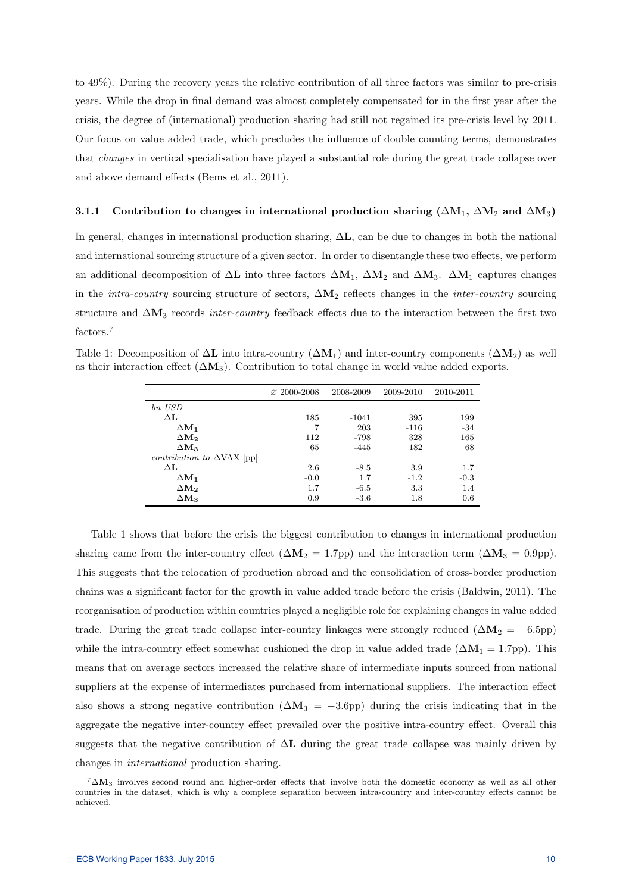to 49%). During the recovery years the relative contribution of all three factors was similar to pre-crisis years. While the drop in final demand was almost completely compensated for in the first year after the crisis, the degree of (international) production sharing had still not regained its pre-crisis level by 2011. Our focus on value added trade, which precludes the influence of double counting terms, demonstrates that changes in vertical specialisation have played a substantial role during the great trade collapse over and above demand effects (Bems et al., 2011).

#### 3.1.1 Contribution to changes in international production sharing ( $\Delta M_1$ ,  $\Delta M_2$  and  $\Delta M_3$ )

In general, changes in international production sharing,  $\Delta L$ , can be due to changes in both the national and international sourcing structure of a given sector. In order to disentangle these two effects, we perform an additional decomposition of  $\Delta L$  into three factors  $\Delta M_1$ ,  $\Delta M_2$  and  $\Delta M_3$ .  $\Delta M_1$  captures changes in the *intra-country* sourcing structure of sectors,  $\Delta M_2$  reflects changes in the *inter-country* sourcing structure and  $\Delta M_3$  records *inter-country* feedback effects due to the interaction between the first two factors.<sup>7</sup>

Table 1: Decomposition of  $\Delta L$  into intra-country ( $\Delta M_1$ ) and inter-country components ( $\Delta M_2$ ) as well as their interaction effect  $(\Delta M_3)$ . Contribution to total change in world value added exports.

|                                          | $\varnothing$ 2000-2008 | 2008-2009 | 2009-2010 | 2010-2011 |
|------------------------------------------|-------------------------|-----------|-----------|-----------|
| bn USD                                   |                         |           |           |           |
| $\Delta \mathbf{L}$                      | 185                     | $-1041$   | 395       | 199       |
| $\Delta M_1$                             | 7                       | 203       | $-116$    | $-34$     |
| $\Delta M_2$                             | 112                     | $-798$    | 328       | 165       |
| $\Delta M_3$                             | 65                      | $-445$    | 182       | 68        |
| <i>contribution to</i> $\Delta$ VAX [pp] |                         |           |           |           |
| $\Delta \mathbf{L}$                      | 2.6                     | $-8.5$    | 3.9       | 1.7       |
| $\Delta M_1$                             | $-0.0$                  | 1.7       | $-1.2$    | $-0.3$    |
| $\Delta \mathbf{M_2}$                    | 1.7                     | $-6.5$    | 3.3       | 1.4       |
| $\Delta {\bf M_3}$                       | 0.9                     | $-3.6$    | 1.8       | 0.6       |

Table 1 shows that before the crisis the biggest contribution to changes in international production sharing came from the inter-country effect  $(\Delta M_2 = 1.7$ pp) and the interaction term  $(\Delta M_3 = 0.9$ pp). This suggests that the relocation of production abroad and the consolidation of cross-border production chains was a significant factor for the growth in value added trade before the crisis (Baldwin, 2011). The reorganisation of production within countries played a negligible role for explaining changes in value added trade. During the great trade collapse inter-country linkages were strongly reduced ( $\Delta M_2 = -6.5$ pp) while the intra-country effect somewhat cushioned the drop in value added trade ( $\Delta M_1 = 1.7$ pp). This means that on average sectors increased the relative share of intermediate inputs sourced from national suppliers at the expense of intermediates purchased from international suppliers. The interaction effect also shows a strong negative contribution  $(\Delta M_3 = -3.6$ pp) during the crisis indicating that in the aggregate the negative inter-country effect prevailed over the positive intra-country effect. Overall this suggests that the negative contribution of  $\Delta L$  during the great trade collapse was mainly driven by changes in international production sharing.

 $7\Delta M_3$  involves second round and higher-order effects that involve both the domestic economy as well as all other countries in the dataset, which is why a complete separation between intra-country and inter-country effects cannot be achieved.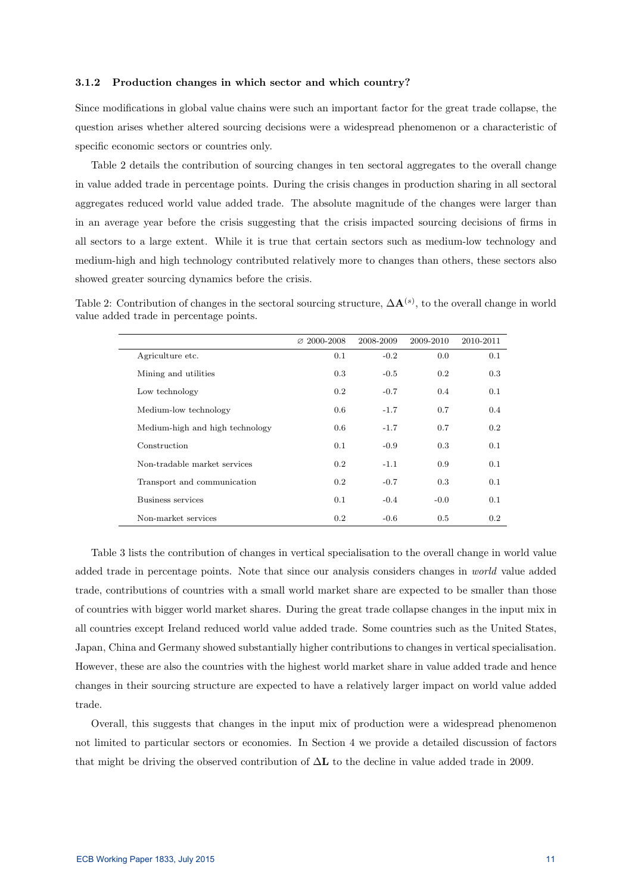#### 3.1.2 Production changes in which sector and which country?

Since modifications in global value chains were such an important factor for the great trade collapse, the question arises whether altered sourcing decisions were a widespread phenomenon or a characteristic of specific economic sectors or countries only.

Table 2 details the contribution of sourcing changes in ten sectoral aggregates to the overall change in value added trade in percentage points. During the crisis changes in production sharing in all sectoral aggregates reduced world value added trade. The absolute magnitude of the changes were larger than in an average year before the crisis suggesting that the crisis impacted sourcing decisions of firms in all sectors to a large extent. While it is true that certain sectors such as medium-low technology and medium-high and high technology contributed relatively more to changes than others, these sectors also showed greater sourcing dynamics before the crisis.

Table 2: Contribution of changes in the sectoral sourcing structure,  $\Delta \mathbf{A}^{(s)}$ , to the overall change in world value added trade in percentage points.

|                                 | $\varnothing$ 2000-2008 | 2008-2009 | 2009-2010 | 2010-2011 |
|---------------------------------|-------------------------|-----------|-----------|-----------|
| Agriculture etc.                | 0.1                     | $-0.2$    | 0.0       | 0.1       |
| Mining and utilities            | 0.3                     | $-0.5$    | 0.2       | 0.3       |
| Low technology                  | 0.2                     | $-0.7$    | 0.4       | 0.1       |
| Medium-low technology           | 0.6                     | $-1.7$    | 0.7       | 0.4       |
| Medium-high and high technology | 0.6                     | $-1.7$    | 0.7       | 0.2       |
| Construction                    | 0.1                     | $-0.9$    | 0.3       | 0.1       |
| Non-tradable market services    | 0.2                     | $-1.1$    | 0.9       | 0.1       |
| Transport and communication     | 0.2                     | $-0.7$    | 0.3       | 0.1       |
| Business services               | 0.1                     | $-0.4$    | $-0.0$    | 0.1       |
| Non-market services             | 0.2                     | $-0.6$    | 0.5       | 0.2       |

Table 3 lists the contribution of changes in vertical specialisation to the overall change in world value added trade in percentage points. Note that since our analysis considers changes in world value added trade, contributions of countries with a small world market share are expected to be smaller than those of countries with bigger world market shares. During the great trade collapse changes in the input mix in all countries except Ireland reduced world value added trade. Some countries such as the United States, Japan, China and Germany showed substantially higher contributions to changes in vertical specialisation. However, these are also the countries with the highest world market share in value added trade and hence changes in their sourcing structure are expected to have a relatively larger impact on world value added trade.

Overall, this suggests that changes in the input mix of production were a widespread phenomenon not limited to particular sectors or economies. In Section 4 we provide a detailed discussion of factors that might be driving the observed contribution of  $\Delta L$  to the decline in value added trade in 2009.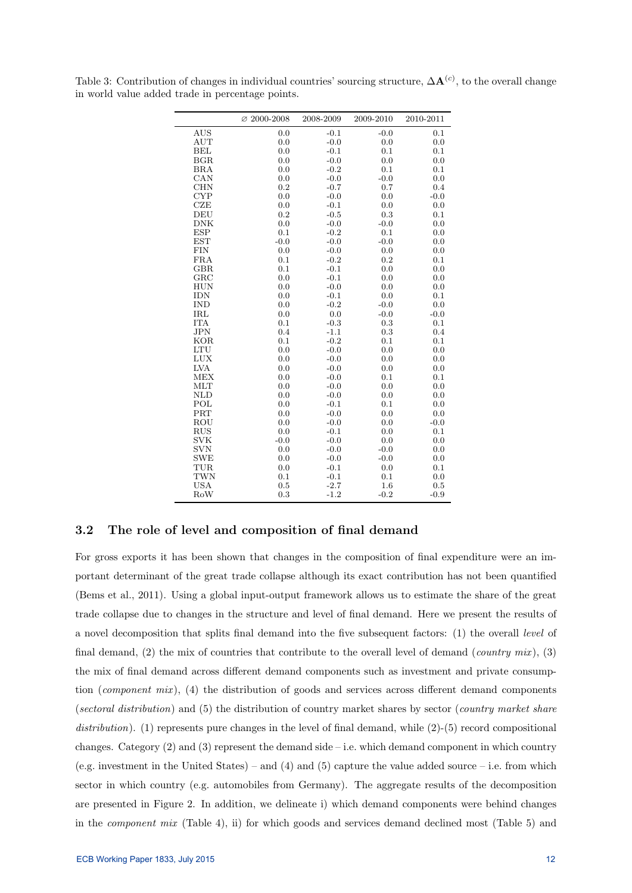|                                                                                                                                                                                                                                                                                                                                  | $\varnothing$ 2000-2008                                                                                                                                                                   | 2008-2009                                                                                                                                                                                                                                                     | 2009-2010                                                                                                                                                                                         | 2010-2011                                                                                                                                                                                   |
|----------------------------------------------------------------------------------------------------------------------------------------------------------------------------------------------------------------------------------------------------------------------------------------------------------------------------------|-------------------------------------------------------------------------------------------------------------------------------------------------------------------------------------------|---------------------------------------------------------------------------------------------------------------------------------------------------------------------------------------------------------------------------------------------------------------|---------------------------------------------------------------------------------------------------------------------------------------------------------------------------------------------------|---------------------------------------------------------------------------------------------------------------------------------------------------------------------------------------------|
| <b>AUS</b>                                                                                                                                                                                                                                                                                                                       | 0.0                                                                                                                                                                                       | $-0.1$                                                                                                                                                                                                                                                        | $-0.0$                                                                                                                                                                                            | 0.1                                                                                                                                                                                         |
| <b>AUT</b>                                                                                                                                                                                                                                                                                                                       | 0.0                                                                                                                                                                                       | $-0.0$                                                                                                                                                                                                                                                        | 0.0                                                                                                                                                                                               | 0.0                                                                                                                                                                                         |
| <b>BEL</b>                                                                                                                                                                                                                                                                                                                       | 0.0                                                                                                                                                                                       | $-0.1$                                                                                                                                                                                                                                                        | 0.1                                                                                                                                                                                               | 0.1                                                                                                                                                                                         |
| BGR                                                                                                                                                                                                                                                                                                                              | 0.0                                                                                                                                                                                       | $-0.0$                                                                                                                                                                                                                                                        | 0.0                                                                                                                                                                                               | 0.0                                                                                                                                                                                         |
| <b>BRA</b>                                                                                                                                                                                                                                                                                                                       | 0.0                                                                                                                                                                                       | $-0.2$                                                                                                                                                                                                                                                        | 0.1                                                                                                                                                                                               | 0.1                                                                                                                                                                                         |
| $_{\rm CAN}$                                                                                                                                                                                                                                                                                                                     | 0.0                                                                                                                                                                                       | $-0.0$                                                                                                                                                                                                                                                        | $-0.0$                                                                                                                                                                                            | 0.0                                                                                                                                                                                         |
| <b>CHN</b>                                                                                                                                                                                                                                                                                                                       | 0.2                                                                                                                                                                                       | $-0.7$                                                                                                                                                                                                                                                        | 0.7                                                                                                                                                                                               | 0.4                                                                                                                                                                                         |
| <b>CYP</b>                                                                                                                                                                                                                                                                                                                       | 0.0                                                                                                                                                                                       | $-0.0$                                                                                                                                                                                                                                                        | 0.0                                                                                                                                                                                               | $-0.0$                                                                                                                                                                                      |
| CZE                                                                                                                                                                                                                                                                                                                              | 0.0                                                                                                                                                                                       | $-0.1$                                                                                                                                                                                                                                                        | 0.0                                                                                                                                                                                               | 0.0                                                                                                                                                                                         |
| DEU                                                                                                                                                                                                                                                                                                                              | 0.2                                                                                                                                                                                       | $-0.5$                                                                                                                                                                                                                                                        | 0.3                                                                                                                                                                                               | 0.1                                                                                                                                                                                         |
| <b>DNK</b>                                                                                                                                                                                                                                                                                                                       | 0.0                                                                                                                                                                                       | $-0.0$                                                                                                                                                                                                                                                        | $-0.0$                                                                                                                                                                                            | 0.0                                                                                                                                                                                         |
| <b>ESP</b>                                                                                                                                                                                                                                                                                                                       | 0.1                                                                                                                                                                                       | $-0.2$                                                                                                                                                                                                                                                        | 0.1                                                                                                                                                                                               | 0.0                                                                                                                                                                                         |
| <b>EST</b>                                                                                                                                                                                                                                                                                                                       | $-0.0$                                                                                                                                                                                    | $-0.0$                                                                                                                                                                                                                                                        | $-0.0$                                                                                                                                                                                            | 0.0                                                                                                                                                                                         |
| <b>FIN</b>                                                                                                                                                                                                                                                                                                                       | 0.0                                                                                                                                                                                       | $-0.0$                                                                                                                                                                                                                                                        | 0.0                                                                                                                                                                                               | 0.0                                                                                                                                                                                         |
| FRA                                                                                                                                                                                                                                                                                                                              | 0.1                                                                                                                                                                                       | $-0.2$                                                                                                                                                                                                                                                        | 0.2                                                                                                                                                                                               | 0.1                                                                                                                                                                                         |
|                                                                                                                                                                                                                                                                                                                                  |                                                                                                                                                                                           |                                                                                                                                                                                                                                                               |                                                                                                                                                                                                   |                                                                                                                                                                                             |
|                                                                                                                                                                                                                                                                                                                                  |                                                                                                                                                                                           |                                                                                                                                                                                                                                                               |                                                                                                                                                                                                   |                                                                                                                                                                                             |
|                                                                                                                                                                                                                                                                                                                                  |                                                                                                                                                                                           |                                                                                                                                                                                                                                                               |                                                                                                                                                                                                   |                                                                                                                                                                                             |
|                                                                                                                                                                                                                                                                                                                                  |                                                                                                                                                                                           |                                                                                                                                                                                                                                                               |                                                                                                                                                                                                   |                                                                                                                                                                                             |
|                                                                                                                                                                                                                                                                                                                                  |                                                                                                                                                                                           |                                                                                                                                                                                                                                                               |                                                                                                                                                                                                   |                                                                                                                                                                                             |
|                                                                                                                                                                                                                                                                                                                                  |                                                                                                                                                                                           |                                                                                                                                                                                                                                                               |                                                                                                                                                                                                   |                                                                                                                                                                                             |
|                                                                                                                                                                                                                                                                                                                                  |                                                                                                                                                                                           |                                                                                                                                                                                                                                                               |                                                                                                                                                                                                   |                                                                                                                                                                                             |
|                                                                                                                                                                                                                                                                                                                                  |                                                                                                                                                                                           |                                                                                                                                                                                                                                                               |                                                                                                                                                                                                   |                                                                                                                                                                                             |
|                                                                                                                                                                                                                                                                                                                                  |                                                                                                                                                                                           |                                                                                                                                                                                                                                                               |                                                                                                                                                                                                   |                                                                                                                                                                                             |
|                                                                                                                                                                                                                                                                                                                                  |                                                                                                                                                                                           |                                                                                                                                                                                                                                                               |                                                                                                                                                                                                   |                                                                                                                                                                                             |
|                                                                                                                                                                                                                                                                                                                                  |                                                                                                                                                                                           |                                                                                                                                                                                                                                                               |                                                                                                                                                                                                   |                                                                                                                                                                                             |
|                                                                                                                                                                                                                                                                                                                                  |                                                                                                                                                                                           |                                                                                                                                                                                                                                                               |                                                                                                                                                                                                   |                                                                                                                                                                                             |
|                                                                                                                                                                                                                                                                                                                                  |                                                                                                                                                                                           |                                                                                                                                                                                                                                                               |                                                                                                                                                                                                   |                                                                                                                                                                                             |
|                                                                                                                                                                                                                                                                                                                                  |                                                                                                                                                                                           |                                                                                                                                                                                                                                                               |                                                                                                                                                                                                   |                                                                                                                                                                                             |
|                                                                                                                                                                                                                                                                                                                                  |                                                                                                                                                                                           |                                                                                                                                                                                                                                                               |                                                                                                                                                                                                   |                                                                                                                                                                                             |
|                                                                                                                                                                                                                                                                                                                                  |                                                                                                                                                                                           |                                                                                                                                                                                                                                                               |                                                                                                                                                                                                   |                                                                                                                                                                                             |
|                                                                                                                                                                                                                                                                                                                                  |                                                                                                                                                                                           |                                                                                                                                                                                                                                                               |                                                                                                                                                                                                   |                                                                                                                                                                                             |
|                                                                                                                                                                                                                                                                                                                                  |                                                                                                                                                                                           |                                                                                                                                                                                                                                                               |                                                                                                                                                                                                   |                                                                                                                                                                                             |
|                                                                                                                                                                                                                                                                                                                                  |                                                                                                                                                                                           |                                                                                                                                                                                                                                                               |                                                                                                                                                                                                   |                                                                                                                                                                                             |
|                                                                                                                                                                                                                                                                                                                                  |                                                                                                                                                                                           |                                                                                                                                                                                                                                                               |                                                                                                                                                                                                   |                                                                                                                                                                                             |
|                                                                                                                                                                                                                                                                                                                                  |                                                                                                                                                                                           |                                                                                                                                                                                                                                                               |                                                                                                                                                                                                   |                                                                                                                                                                                             |
|                                                                                                                                                                                                                                                                                                                                  |                                                                                                                                                                                           |                                                                                                                                                                                                                                                               |                                                                                                                                                                                                   |                                                                                                                                                                                             |
|                                                                                                                                                                                                                                                                                                                                  |                                                                                                                                                                                           |                                                                                                                                                                                                                                                               |                                                                                                                                                                                                   |                                                                                                                                                                                             |
|                                                                                                                                                                                                                                                                                                                                  |                                                                                                                                                                                           |                                                                                                                                                                                                                                                               |                                                                                                                                                                                                   |                                                                                                                                                                                             |
|                                                                                                                                                                                                                                                                                                                                  |                                                                                                                                                                                           |                                                                                                                                                                                                                                                               |                                                                                                                                                                                                   |                                                                                                                                                                                             |
| <b>GBR</b><br>$_{\rm GRC}$<br><b>HUN</b><br><b>IDN</b><br><b>IND</b><br>IRL<br><b>ITA</b><br><b>JPN</b><br><b>KOR</b><br><b>LTU</b><br><b>LUX</b><br><b>LVA</b><br><b>MEX</b><br>MLT<br><b>NLD</b><br>POL<br>PRT<br>ROU<br><b>RUS</b><br><b>SVK</b><br><b>SVN</b><br><b>SWE</b><br><b>TUR</b><br><b>TWN</b><br><b>USA</b><br>RoW | 0.1<br>0.0<br>0.0<br>0.0<br>0.0<br>0.0<br>0.1<br>0.4<br>0.1<br>0.0<br>0.0<br>0.0<br>0.0<br>0.0<br>0.0<br>0.0<br>0.0<br>0.0<br>0.0<br>$-0.0$<br>0.0<br>0.0<br>0.0<br>$0.1\,$<br>0.5<br>0.3 | $-0.1$<br>$-0.1$<br>$-0.0$<br>$-0.1$<br>$-0.2$<br>0.0<br>$-0.3$<br>$-1.1$<br>$-0.2$<br>$-0.0$<br>$-0.0$<br>$-0.0$<br>$-0.0$<br>$-0.0$<br>$-0.0$<br>$-0.1$<br>$-0.0$<br>$-0.0$<br>$-0.1$<br>$-0.0$<br>$-0.0$<br>$-0.0$<br>$-0.1$<br>$-0.1$<br>$-2.7$<br>$-1.2$ | 0.0<br>0.0<br>0.0<br>0.0<br>$-0.0$<br>$-0.0$<br>0.3<br>0.3<br>0.1<br>0.0<br>0.0<br>0.0<br>0.1<br>0.0<br>0.0<br>0.1<br>0.0<br>0.0<br>0.0<br>0.0<br>$-0.0$<br>$-0.0$<br>0.0<br>0.1<br>1.6<br>$-0.2$ | 0.0<br>0.0<br>0.0<br>0.1<br>0.0<br>$-0.0$<br>0.1<br>0.4<br>0.1<br>0.0<br>0.0<br>0.0<br>0.1<br>0.0<br>0.0<br>0.0<br>0.0<br>$-0.0$<br>0.1<br>0.0<br>0.0<br>0.0<br>0.1<br>0.0<br>0.5<br>$-0.9$ |

Table 3: Contribution of changes in individual countries' sourcing structure,  $\Delta \mathbf{A}^{(c)}$ , to the overall change in world value added trade in percentage points.

## 3.2 The role of level and composition of final demand

For gross exports it has been shown that changes in the composition of final expenditure were an important determinant of the great trade collapse although its exact contribution has not been quantified (Bems et al., 2011). Using a global input-output framework allows us to estimate the share of the great trade collapse due to changes in the structure and level of final demand. Here we present the results of a novel decomposition that splits final demand into the five subsequent factors: (1) the overall level of final demand, (2) the mix of countries that contribute to the overall level of demand (*country mix*), (3) the mix of final demand across different demand components such as investment and private consumption (*component mix*), (4) the distribution of goods and services across different demand components (sectoral distribution) and (5) the distribution of country market shares by sector (country market share distribution). (1) represents pure changes in the level of final demand, while (2)-(5) record compositional changes. Category  $(2)$  and  $(3)$  represent the demand side – i.e. which demand component in which country (e.g. investment in the United States) – and (4) and (5) capture the value added source – i.e. from which sector in which country (e.g. automobiles from Germany). The aggregate results of the decomposition are presented in Figure 2. In addition, we delineate i) which demand components were behind changes in the *component mix* (Table 4), ii) for which goods and services demand declined most (Table 5) and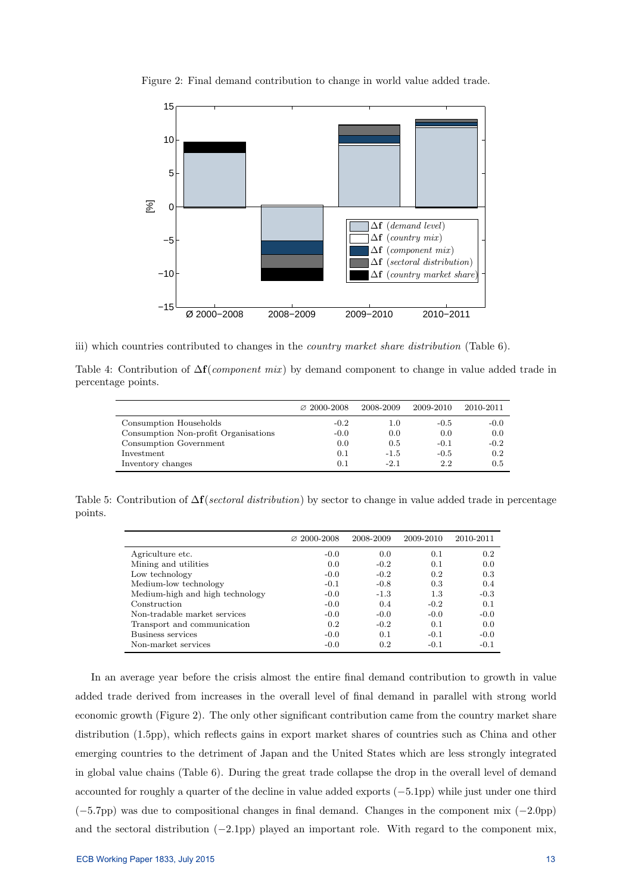

Figure 2: Final demand contribution to change in world value added trade.

iii) which countries contributed to changes in the country market share distribution (Table 6).

Table 4: Contribution of  $\Delta f$ (*component mix*) by demand component to change in value added trade in percentage points.

|                                      | $\varnothing$ 2000-2008 | 2008-2009 | 2009-2010 | 2010-2011 |
|--------------------------------------|-------------------------|-----------|-----------|-----------|
| Consumption Households               | $-0.2$                  | $1.0\,$   | $-0.5$    | $-0.0$    |
| Consumption Non-profit Organisations | $-0.0$                  | 0.0       | 0.0       | 0.0       |
| Consumption Government               | 0.0                     | 0.5       | $-0.1$    | $-0.2$    |
| Investment                           | 0.1                     | $-1.5$    | $-0.5$    | 0.2       |
| Inventory changes                    | 0.1                     | $-2.1$    | 2.2       | 0.5       |

Table 5: Contribution of  $\Delta f$ (sectoral distribution) by sector to change in value added trade in percentage points.

|                                 | $\varnothing$ 2000-2008 | 2008-2009 | 2009-2010 | 2010-2011 |
|---------------------------------|-------------------------|-----------|-----------|-----------|
| Agriculture etc.                | $-0.0$                  | 0.0       | 0.1       | 0.2       |
| Mining and utilities            | 0.0                     | $-0.2$    | 0.1       | 0.0       |
| Low technology                  | $-0.0$                  | $-0.2$    | 0.2       | 0.3       |
| Medium-low technology           | $-0.1$                  | $-0.8$    | 0.3       | 0.4       |
| Medium-high and high technology | $-0.0$                  | $-1.3$    | 1.3       | $-0.3$    |
| Construction                    | $-0.0$                  | 0.4       | $-0.2$    | 0.1       |
| Non-tradable market services    | $-0.0$                  | $-0.0$    | $-0.0$    | $-0.0$    |
| Transport and communication     | 0.2                     | $-0.2$    | 0.1       | 0.0       |
| Business services               | $-0.0$                  | 0.1       | $-0.1$    | $-0.0$    |
| Non-market services             | $-0.0$                  | 0.2       | $-0.1$    | $-0.1$    |

In an average year before the crisis almost the entire final demand contribution to growth in value added trade derived from increases in the overall level of final demand in parallel with strong world economic growth (Figure 2). The only other significant contribution came from the country market share distribution (1.5pp), which reflects gains in export market shares of countries such as China and other emerging countries to the detriment of Japan and the United States which are less strongly integrated in global value chains (Table 6). During the great trade collapse the drop in the overall level of demand accounted for roughly a quarter of the decline in value added exports (−5.1pp) while just under one third (−5.7pp) was due to compositional changes in final demand. Changes in the component mix (−2.0pp) and the sectoral distribution (−2.1pp) played an important role. With regard to the component mix,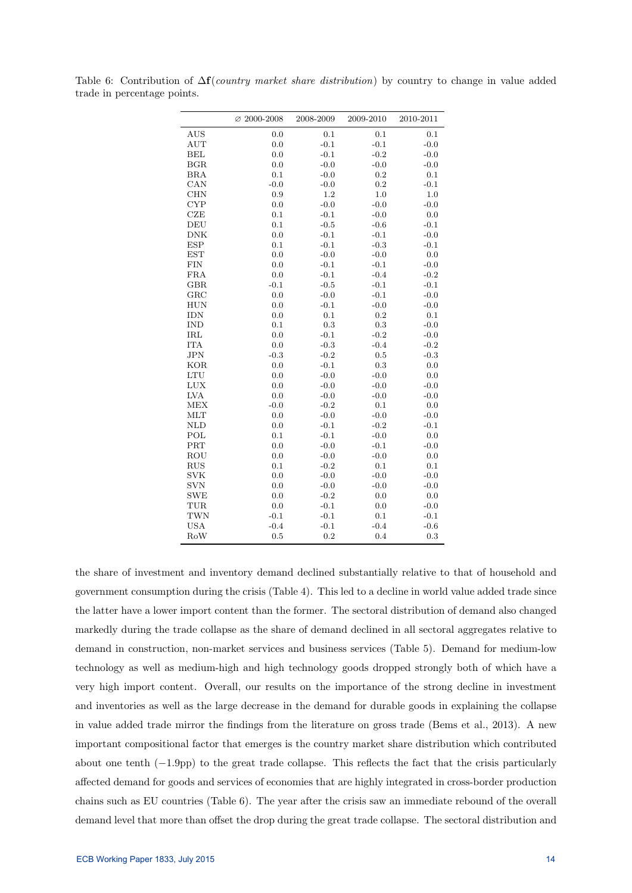|              | $\varnothing$ 2000-2008 | 2008-2009 | 2009-2010 | 2010-2011 |
|--------------|-------------------------|-----------|-----------|-----------|
| <b>AUS</b>   | 0.0                     | 0.1       | 0.1       | 0.1       |
| <b>AUT</b>   | 0.0                     | $-0.1$    | $-0.1$    | $-0.0$    |
| <b>BEL</b>   | 0.0                     | $-0.1$    | $-0.2$    | $-0.0$    |
| BGR          | 0.0                     | $-0.0$    | $-0.0$    | $-0.0$    |
| <b>BRA</b>   | 0.1                     | $-0.0$    | 0.2       | 0.1       |
| CAN          | $-0.0$                  | $-0.0$    | 0.2       | $-0.1$    |
| <b>CHN</b>   | 0.9                     | 1.2       | 1.0       | 1.0       |
| <b>CYP</b>   | 0.0                     | $-0.0$    | $-0.0$    | $-0.0$    |
| CZE          | 0.1                     | $-0.1$    | $-0.0$    | 0.0       |
| <b>DEU</b>   | 0.1                     | $-0.5$    | $-0.6$    | $-0.1$    |
| <b>DNK</b>   | 0.0                     | $-0.1$    | $-0.1$    | $-0.0$    |
| <b>ESP</b>   | 0.1                     | $-0.1$    | $-0.3$    | $-0.1$    |
| <b>EST</b>   | 0.0                     | $-0.0$    | $-0.0$    | 0.0       |
| <b>FIN</b>   | 0.0                     | $-0.1$    | $-0.1$    | $-0.0$    |
| <b>FRA</b>   | 0.0                     | $-0.1$    | $-0.4$    | $-0.2$    |
| <b>GBR</b>   | $-0.1$                  | $-0.5$    | $-0.1$    | $-0.1$    |
| $_{\rm GRC}$ | 0.0                     | $-0.0$    | $-0.1$    | $-0.0$    |
| <b>HUN</b>   | 0.0                     | $-0.1$    | $-0.0$    | $-0.0$    |
| <b>IDN</b>   | 0.0                     | 0.1       | 0.2       | 0.1       |
| <b>IND</b>   | 0.1                     | 0.3       | 0.3       | $-0.0$    |
| IRL          | 0.0                     | $-0.1$    | $-0.2$    | $-0.0$    |
| <b>ITA</b>   | 0.0                     | $-0.3$    | $-0.4$    | $-0.2$    |
| JPN          | $-0.3$                  | $-0.2$    | 0.5       | $-0.3$    |
| <b>KOR</b>   | 0.0                     | $-0.1$    | 0.3       | 0.0       |
| <b>LTU</b>   | 0.0                     | $-0.0$    | $-0.0$    | 0.0       |
| <b>LUX</b>   | 0.0                     | $-0.0$    | $-0.0$    | $-0.0$    |
| <b>LVA</b>   | 0.0                     | $-0.0$    | $-0.0$    | $-0.0$    |
| <b>MEX</b>   | $-0.0$                  | $-0.2$    | 0.1       | 0.0       |
| <b>MLT</b>   | 0.0                     | $-0.0$    | $-0.0$    | $-0.0$    |
| <b>NLD</b>   | 0.0                     | $-0.1$    | $-0.2$    | $-0.1$    |
| POL          | 0.1                     | $-0.1$    | $-0.0$    | 0.0       |
| PRT          | 0.0                     | $-0.0$    | $-0.1$    | $-0.0$    |
| ROU          | 0.0                     | $-0.0$    | $-0.0$    | 0.0       |
| <b>RUS</b>   | 0.1                     | $-0.2$    | 0.1       | 0.1       |
| <b>SVK</b>   | 0.0                     | $-0.0$    | $-0.0$    | $-0.0$    |
| <b>SVN</b>   | 0.0                     | $-0.0$    | $-0.0$    | $-0.0$    |
| <b>SWE</b>   | 0.0                     | $-0.2$    | 0.0       | 0.0       |
| TUR          | 0.0                     | $-0.1$    | 0.0       | $-0.0$    |
| <b>TWN</b>   | $-0.1$                  | $-0.1$    | 0.1       | $-0.1$    |
| <b>USA</b>   | $-0.4$                  | $-0.1$    | $-0.4$    | $-0.6$    |
| RoW          | 0.5                     | 0.2       | 0.4       | 0.3       |

Table 6: Contribution of  $\Delta f$ (*country market share distribution*) by country to change in value added trade in percentage points.

the share of investment and inventory demand declined substantially relative to that of household and government consumption during the crisis (Table 4). This led to a decline in world value added trade since the latter have a lower import content than the former. The sectoral distribution of demand also changed markedly during the trade collapse as the share of demand declined in all sectoral aggregates relative to demand in construction, non-market services and business services (Table 5). Demand for medium-low technology as well as medium-high and high technology goods dropped strongly both of which have a very high import content. Overall, our results on the importance of the strong decline in investment and inventories as well as the large decrease in the demand for durable goods in explaining the collapse in value added trade mirror the findings from the literature on gross trade (Bems et al., 2013). A new important compositional factor that emerges is the country market share distribution which contributed about one tenth (−1.9pp) to the great trade collapse. This reflects the fact that the crisis particularly affected demand for goods and services of economies that are highly integrated in cross-border production chains such as EU countries (Table 6). The year after the crisis saw an immediate rebound of the overall demand level that more than offset the drop during the great trade collapse. The sectoral distribution and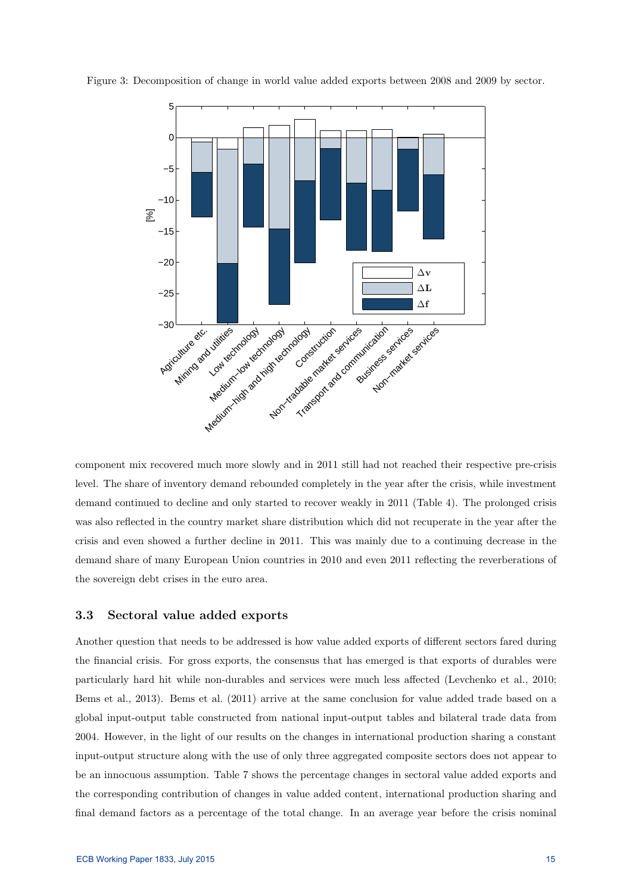

Figure 3: Decomposition of change in world value added exports between 2008 and 2009 by sector.

component mix recovered much more slowly and in 2011 still had not reached their respective pre-crisis level. The share of inventory demand rebounded completely in the year after the crisis, while investment demand continued to decline and only started to recover weakly in 2011 (Table 4). The prolonged crisis was also reflected in the country market share distribution which did not recuperate in the year after the crisis and even showed a further decline in 2011. This was mainly due to a continuing decrease in the demand share of many European Union countries in 2010 and even 2011 reflecting the reverberations of the sovereign debt crises in the euro area.

## 3.3 Sectoral value added exports

Another question that needs to be addressed is how value added exports of different sectors fared during the financial crisis. For gross exports, the consensus that has emerged is that exports of durables were particularly hard hit while non-durables and services were much less affected (Levchenko et al., 2010; Bems et al., 2013). Bems et al. (2011) arrive at the same conclusion for value added trade based on a global input-output table constructed from national input-output tables and bilateral trade data from 2004. However, in the light of our results on the changes in international production sharing a constant input-output structure along with the use of only three aggregated composite sectors does not appear to be an innocuous assumption. Table 7 shows the percentage changes in sectoral value added exports and the corresponding contribution of changes in value added content, international production sharing and final demand factors as a percentage of the total change. In an average year before the crisis nominal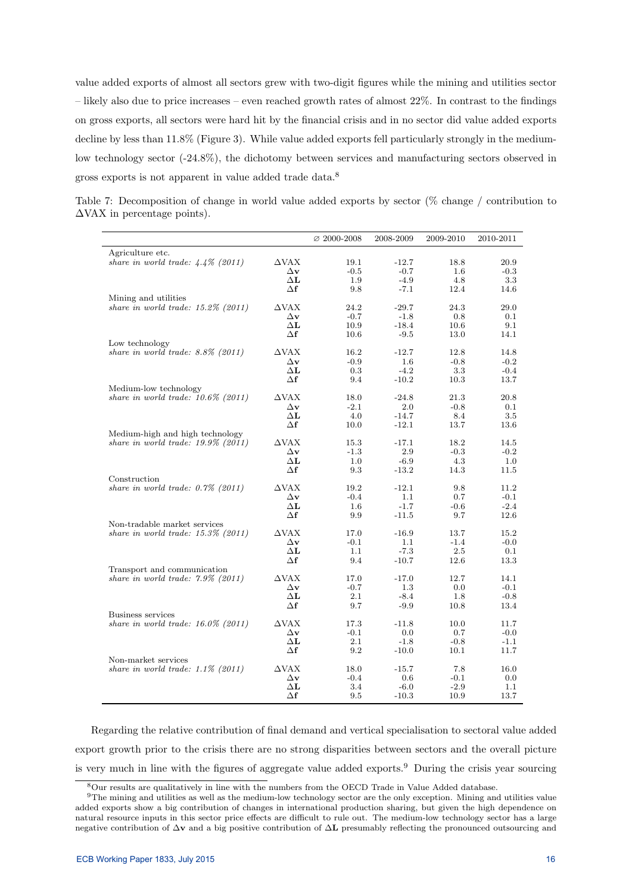value added exports of almost all sectors grew with two-digit figures while the mining and utilities sector – likely also due to price increases – even reached growth rates of almost 22%. In contrast to the findings on gross exports, all sectors were hard hit by the financial crisis and in no sector did value added exports decline by less than 11.8% (Figure 3). While value added exports fell particularly strongly in the mediumlow technology sector  $(-24.8\%)$ , the dichotomy between services and manufacturing sectors observed in gross exports is not apparent in value added trade data.<sup>8</sup>

Table 7: Decomposition of change in world value added exports by sector (% change / contribution to  $\Delta$ VAX in percentage points).

|                                       |                                            | $\varnothing$ 2000-2008 | 2008-2009         | 2009-2010      | 2010-2011      |
|---------------------------------------|--------------------------------------------|-------------------------|-------------------|----------------|----------------|
| Agriculture etc.                      |                                            |                         |                   |                |                |
| share in world trade: $4.4\%$ (2011)  | $\triangle$ VAX                            | 19.1                    | $-12.7$           | 18.8           | 20.9           |
|                                       | $\Delta$ v                                 | $-0.5$                  | $-0.7$            | $1.6\,$        | $-0.3$         |
|                                       | $\Delta L$                                 | 1.9                     | $-4.9$            | 4.8            | 3.3            |
|                                       | $\Delta f$                                 | 9.8                     | $-7.1$            | 12.4           | 14.6           |
| Mining and utilities                  |                                            |                         |                   |                |                |
| share in world trade: $15.2\%$ (2011) | $\triangle$ VAX                            | 24.2                    | $-29.7$           | 24.3           | 29.0           |
|                                       | $\Delta \mathbf{v}$                        | $-0.7$                  | $-1.8$            | 0.8            | 0.1            |
|                                       | $\Delta \mathbf{L}$                        | 10.9                    | $-18.4$           | 10.6           | 9.1            |
|                                       | Δf                                         | 10.6                    | $-9.5$            | 13.0           | 14.1           |
| Low technology                        |                                            |                         |                   |                |                |
| share in world trade: $8.8\%$ (2011)  | $\triangle$ VAX                            | 16.2                    | $-12.7$           | 12.8           | 14.8           |
|                                       | $\Delta \mathbf{v}$                        | $-0.9$                  | 1.6               | $-0.8$         | $-0.2$         |
|                                       | $\Delta \mathbf{L}$                        | 0.3                     | $-4.2$            | 3.3            | $-0.4$         |
|                                       | Δf                                         | 9.4                     | $-10.2$           | 10.3           | 13.7           |
| Medium-low technology                 |                                            |                         |                   |                |                |
| share in world trade: $10.6\%$ (2011) | $\triangle$ VAX                            | 18.0                    | $-24.8$<br>2.0    | 21.3           | 20.8           |
|                                       | $\Delta \mathbf{v}$<br>$\Delta \mathbf{L}$ | $-2.1$<br>4.0           | $-14.7$           | $-0.8$<br>8.4  | 0.1<br>3.5     |
|                                       | $\Delta \mathbf{f}$                        | 10.0                    | $-12.1$           | 13.7           |                |
| Medium-high and high technology       |                                            |                         |                   |                | 13.6           |
| share in world trade: $19.9\%$ (2011) | $\triangle$ VAX                            | 15.3                    | $-17.1$           | 18.2           | 14.5           |
|                                       | $\Delta$ v                                 | $-1.3$                  | 2.9               | $-0.3$         | $-0.2$         |
|                                       | $\Delta \mathbf{L}$                        | 1.0                     | $-6.9$            | 4.3            | 1.0            |
|                                       | Δf                                         | 9.3                     | $-13.2$           | 14.3           | 11.5           |
| Construction                          |                                            |                         |                   |                |                |
| share in world trade: $0.7\%$ (2011)  | $\triangle$ VAX                            | 19.2                    | $-12.1$           | 9.8            | 11.2           |
|                                       | $\Delta \mathbf{v}$                        | $-0.4$                  | 1.1               | 0.7            | $-0.1$         |
|                                       | $\Delta \mathbf{L}$                        | 1.6                     | $-1.7$            | $-0.6$         | $-2.4$         |
|                                       | Δf                                         | 9.9                     | $-11.5$           | 9.7            | 12.6           |
| Non-tradable market services          |                                            |                         |                   |                |                |
| share in world trade: $15.3\%$ (2011) | $\triangle$ VAX                            | 17.0                    | $-16.9$           | 13.7           | 15.2           |
|                                       | $\Delta \mathbf{v}$                        | $-0.1$                  | 1.1               | $-1.4$         | $-0.0$         |
|                                       | $\Delta \mathbf{L}$                        | 1.1                     | $-7.3$            | 2.5            | 0.1            |
|                                       | Δf                                         | 9.4                     | $-10.7$           | 12.6           | 13.3           |
| Transport and communication           |                                            |                         |                   |                |                |
| share in world trade: $7.9\%$ (2011)  | $\triangle$ VAX                            | 17.0                    | $-17.0$           | 12.7           | 14.1           |
|                                       | $\Delta \mathbf{v}$                        | $-0.7$                  | 1.3               | 0.0            | $-0.1$         |
|                                       | $\Delta \mathbf{L}$                        | 2.1                     | $-8.4$            | 1.8            | $-0.8$         |
|                                       | Δf                                         | 9.7                     | $-9.9$            | 10.8           | 13.4           |
| Business services                     |                                            |                         |                   |                |                |
| share in world trade: $16.0\%$ (2011) | $\Delta$ VAX                               | 17.3                    | $-11.8$           | 10.0           | 11.7           |
|                                       | $\Delta \mathbf{v}$                        | $-0.1$                  | 0.0               | 0.7            | $-0.0$         |
|                                       | $\Delta \mathbf{L}$<br>$\Delta \textbf{f}$ | 2.1<br>9.2              | $-1.8$<br>$-10.0$ | $-0.8$<br>10.1 | $-1.1$<br>11.7 |
| Non-market services                   |                                            |                         |                   |                |                |
| share in world trade: $1.1\%$ (2011)  | $\triangle$ VAX                            | 18.0                    | $-15.7$           | 7.8            | 16.0           |
|                                       | $\Delta \mathbf{v}$                        | $-0.4$                  | 0.6               | $-0.1$         | $0.0\,$        |
|                                       | $\Delta \mathbf{L}$                        | 3.4                     | $-6.0$            | $-2.9$         | $1.1\,$        |
|                                       | Δf                                         | 9.5                     | $-10.3$           | 10.9           | 13.7           |
|                                       |                                            |                         |                   |                |                |

Regarding the relative contribution of final demand and vertical specialisation to sectoral value added export growth prior to the crisis there are no strong disparities between sectors and the overall picture is very much in line with the figures of aggregate value added exports.<sup>9</sup> During the crisis year sourcing

<sup>8</sup>Our results are qualitatively in line with the numbers from the OECD Trade in Value Added database.

<sup>&</sup>lt;sup>9</sup>The mining and utilities as well as the medium-low technology sector are the only exception. Mining and utilities value added exports show a big contribution of changes in international production sharing, but given the high dependence on natural resource inputs in this sector price effects are difficult to rule out. The medium-low technology sector has a large negative contribution of ∆v and a big positive contribution of ∆L presumably reflecting the pronounced outsourcing and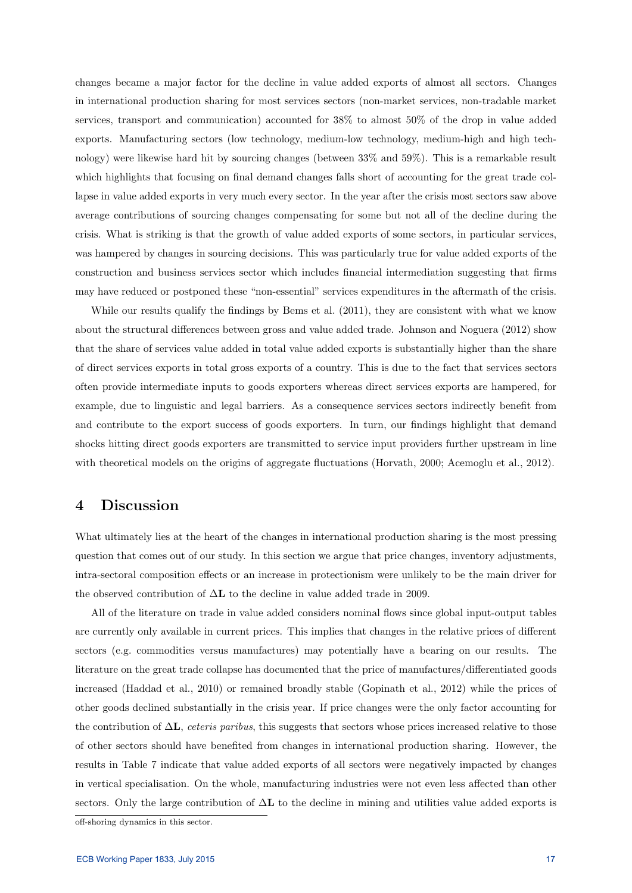changes became a major factor for the decline in value added exports of almost all sectors. Changes in international production sharing for most services sectors (non-market services, non-tradable market services, transport and communication) accounted for 38% to almost 50% of the drop in value added exports. Manufacturing sectors (low technology, medium-low technology, medium-high and high technology) were likewise hard hit by sourcing changes (between 33% and 59%). This is a remarkable result which highlights that focusing on final demand changes falls short of accounting for the great trade collapse in value added exports in very much every sector. In the year after the crisis most sectors saw above average contributions of sourcing changes compensating for some but not all of the decline during the crisis. What is striking is that the growth of value added exports of some sectors, in particular services, was hampered by changes in sourcing decisions. This was particularly true for value added exports of the construction and business services sector which includes financial intermediation suggesting that firms may have reduced or postponed these "non-essential" services expenditures in the aftermath of the crisis.

While our results qualify the findings by Bems et al.  $(2011)$ , they are consistent with what we know about the structural differences between gross and value added trade. Johnson and Noguera (2012) show that the share of services value added in total value added exports is substantially higher than the share of direct services exports in total gross exports of a country. This is due to the fact that services sectors often provide intermediate inputs to goods exporters whereas direct services exports are hampered, for example, due to linguistic and legal barriers. As a consequence services sectors indirectly benefit from and contribute to the export success of goods exporters. In turn, our findings highlight that demand shocks hitting direct goods exporters are transmitted to service input providers further upstream in line with theoretical models on the origins of aggregate fluctuations (Horvath, 2000; Acemoglu et al., 2012).

## 4 Discussion

What ultimately lies at the heart of the changes in international production sharing is the most pressing question that comes out of our study. In this section we argue that price changes, inventory adjustments, intra-sectoral composition effects or an increase in protectionism were unlikely to be the main driver for the observed contribution of  $\Delta L$  to the decline in value added trade in 2009.

All of the literature on trade in value added considers nominal flows since global input-output tables are currently only available in current prices. This implies that changes in the relative prices of different sectors (e.g. commodities versus manufactures) may potentially have a bearing on our results. The literature on the great trade collapse has documented that the price of manufactures/differentiated goods increased (Haddad et al., 2010) or remained broadly stable (Gopinath et al., 2012) while the prices of other goods declined substantially in the crisis year. If price changes were the only factor accounting for the contribution of  $\Delta L$ , *ceteris paribus*, this suggests that sectors whose prices increased relative to those of other sectors should have benefited from changes in international production sharing. However, the results in Table 7 indicate that value added exports of all sectors were negatively impacted by changes in vertical specialisation. On the whole, manufacturing industries were not even less affected than other sectors. Only the large contribution of  $\Delta L$  to the decline in mining and utilities value added exports is

off-shoring dynamics in this sector.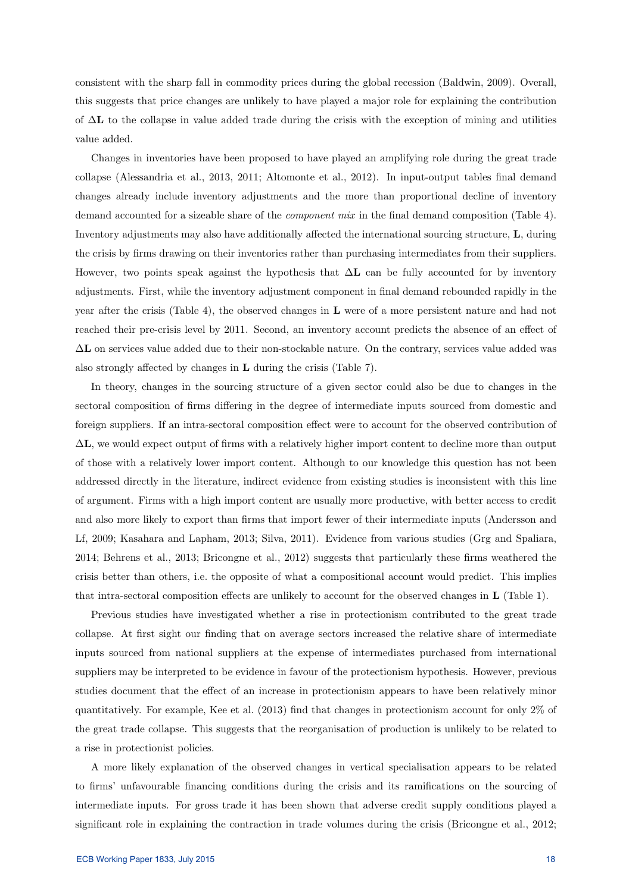consistent with the sharp fall in commodity prices during the global recession (Baldwin, 2009). Overall, this suggests that price changes are unlikely to have played a major role for explaining the contribution of  $\Delta$ **L** to the collapse in value added trade during the crisis with the exception of mining and utilities value added.

Changes in inventories have been proposed to have played an amplifying role during the great trade collapse (Alessandria et al., 2013, 2011; Altomonte et al., 2012). In input-output tables final demand changes already include inventory adjustments and the more than proportional decline of inventory demand accounted for a sizeable share of the component mix in the final demand composition (Table 4). Inventory adjustments may also have additionally affected the international sourcing structure, L, during the crisis by firms drawing on their inventories rather than purchasing intermediates from their suppliers. However, two points speak against the hypothesis that  $\Delta L$  can be fully accounted for by inventory adjustments. First, while the inventory adjustment component in final demand rebounded rapidly in the year after the crisis (Table 4), the observed changes in L were of a more persistent nature and had not reached their pre-crisis level by 2011. Second, an inventory account predicts the absence of an effect of ∆L on services value added due to their non-stockable nature. On the contrary, services value added was also strongly affected by changes in L during the crisis (Table 7).

In theory, changes in the sourcing structure of a given sector could also be due to changes in the sectoral composition of firms differing in the degree of intermediate inputs sourced from domestic and foreign suppliers. If an intra-sectoral composition effect were to account for the observed contribution of ∆L, we would expect output of firms with a relatively higher import content to decline more than output of those with a relatively lower import content. Although to our knowledge this question has not been addressed directly in the literature, indirect evidence from existing studies is inconsistent with this line of argument. Firms with a high import content are usually more productive, with better access to credit and also more likely to export than firms that import fewer of their intermediate inputs (Andersson and Lf, 2009; Kasahara and Lapham, 2013; Silva, 2011). Evidence from various studies (Grg and Spaliara, 2014; Behrens et al., 2013; Bricongne et al., 2012) suggests that particularly these firms weathered the crisis better than others, i.e. the opposite of what a compositional account would predict. This implies that intra-sectoral composition effects are unlikely to account for the observed changes in L (Table 1).

Previous studies have investigated whether a rise in protectionism contributed to the great trade collapse. At first sight our finding that on average sectors increased the relative share of intermediate inputs sourced from national suppliers at the expense of intermediates purchased from international suppliers may be interpreted to be evidence in favour of the protectionism hypothesis. However, previous studies document that the effect of an increase in protectionism appears to have been relatively minor quantitatively. For example, Kee et al. (2013) find that changes in protectionism account for only 2% of the great trade collapse. This suggests that the reorganisation of production is unlikely to be related to a rise in protectionist policies.

A more likely explanation of the observed changes in vertical specialisation appears to be related to firms' unfavourable financing conditions during the crisis and its ramifications on the sourcing of intermediate inputs. For gross trade it has been shown that adverse credit supply conditions played a significant role in explaining the contraction in trade volumes during the crisis (Bricongne et al., 2012;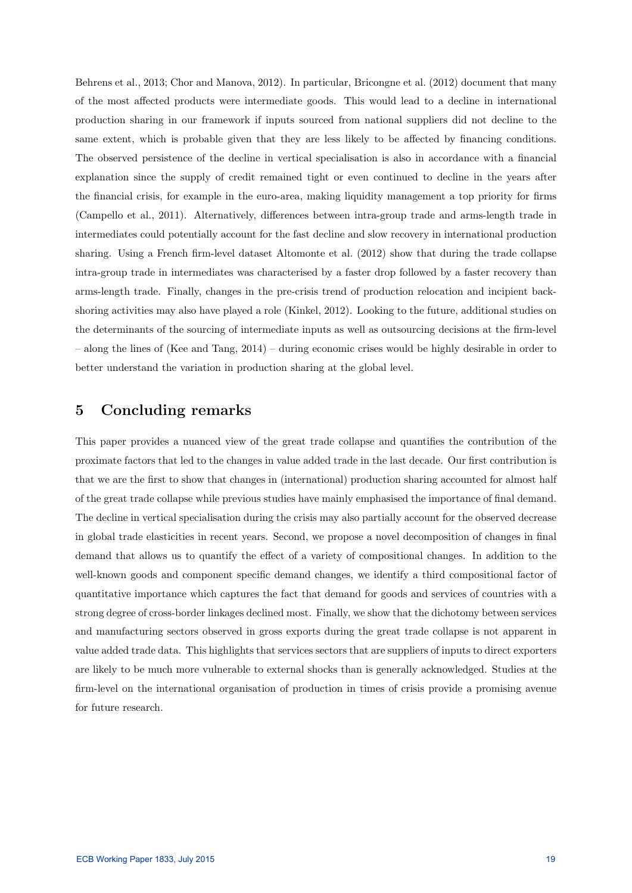Behrens et al., 2013; Chor and Manova, 2012). In particular, Bricongne et al. (2012) document that many of the most affected products were intermediate goods. This would lead to a decline in international production sharing in our framework if inputs sourced from national suppliers did not decline to the same extent, which is probable given that they are less likely to be affected by financing conditions. The observed persistence of the decline in vertical specialisation is also in accordance with a financial explanation since the supply of credit remained tight or even continued to decline in the years after the financial crisis, for example in the euro-area, making liquidity management a top priority for firms (Campello et al., 2011). Alternatively, differences between intra-group trade and arms-length trade in intermediates could potentially account for the fast decline and slow recovery in international production sharing. Using a French firm-level dataset Altomonte et al. (2012) show that during the trade collapse intra-group trade in intermediates was characterised by a faster drop followed by a faster recovery than arms-length trade. Finally, changes in the pre-crisis trend of production relocation and incipient backshoring activities may also have played a role (Kinkel, 2012). Looking to the future, additional studies on the determinants of the sourcing of intermediate inputs as well as outsourcing decisions at the firm-level – along the lines of (Kee and Tang, 2014) – during economic crises would be highly desirable in order to better understand the variation in production sharing at the global level.

# 5 Concluding remarks

This paper provides a nuanced view of the great trade collapse and quantifies the contribution of the proximate factors that led to the changes in value added trade in the last decade. Our first contribution is that we are the first to show that changes in (international) production sharing accounted for almost half of the great trade collapse while previous studies have mainly emphasised the importance of final demand. The decline in vertical specialisation during the crisis may also partially account for the observed decrease in global trade elasticities in recent years. Second, we propose a novel decomposition of changes in final demand that allows us to quantify the effect of a variety of compositional changes. In addition to the well-known goods and component specific demand changes, we identify a third compositional factor of quantitative importance which captures the fact that demand for goods and services of countries with a strong degree of cross-border linkages declined most. Finally, we show that the dichotomy between services and manufacturing sectors observed in gross exports during the great trade collapse is not apparent in value added trade data. This highlights that services sectors that are suppliers of inputs to direct exporters are likely to be much more vulnerable to external shocks than is generally acknowledged. Studies at the firm-level on the international organisation of production in times of crisis provide a promising avenue for future research.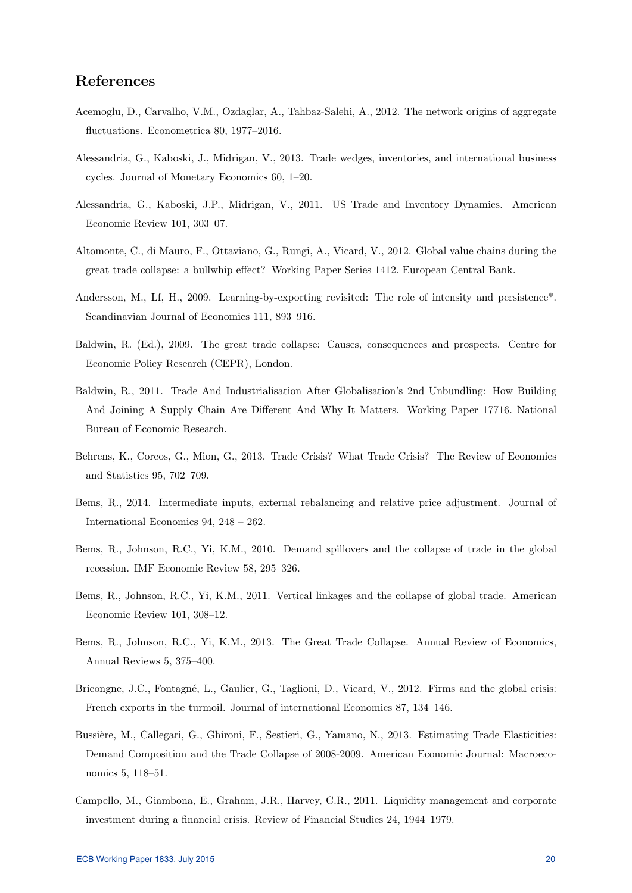# References

- Acemoglu, D., Carvalho, V.M., Ozdaglar, A., Tahbaz-Salehi, A., 2012. The network origins of aggregate fluctuations. Econometrica 80, 1977–2016.
- Alessandria, G., Kaboski, J., Midrigan, V., 2013. Trade wedges, inventories, and international business cycles. Journal of Monetary Economics 60, 1–20.
- Alessandria, G., Kaboski, J.P., Midrigan, V., 2011. US Trade and Inventory Dynamics. American Economic Review 101, 303–07.
- Altomonte, C., di Mauro, F., Ottaviano, G., Rungi, A., Vicard, V., 2012. Global value chains during the great trade collapse: a bullwhip effect? Working Paper Series 1412. European Central Bank.
- Andersson, M., Lf, H., 2009. Learning-by-exporting revisited: The role of intensity and persistence\*. Scandinavian Journal of Economics 111, 893–916.
- Baldwin, R. (Ed.), 2009. The great trade collapse: Causes, consequences and prospects. Centre for Economic Policy Research (CEPR), London.
- Baldwin, R., 2011. Trade And Industrialisation After Globalisation's 2nd Unbundling: How Building And Joining A Supply Chain Are Different And Why It Matters. Working Paper 17716. National Bureau of Economic Research.
- Behrens, K., Corcos, G., Mion, G., 2013. Trade Crisis? What Trade Crisis? The Review of Economics and Statistics 95, 702–709.
- Bems, R., 2014. Intermediate inputs, external rebalancing and relative price adjustment. Journal of International Economics 94, 248 – 262.
- Bems, R., Johnson, R.C., Yi, K.M., 2010. Demand spillovers and the collapse of trade in the global recession. IMF Economic Review 58, 295–326.
- Bems, R., Johnson, R.C., Yi, K.M., 2011. Vertical linkages and the collapse of global trade. American Economic Review 101, 308–12.
- Bems, R., Johnson, R.C., Yi, K.M., 2013. The Great Trade Collapse. Annual Review of Economics, Annual Reviews 5, 375–400.
- Bricongne, J.C., Fontagné, L., Gaulier, G., Taglioni, D., Vicard, V., 2012. Firms and the global crisis: French exports in the turmoil. Journal of international Economics 87, 134–146.
- Bussière, M., Callegari, G., Ghironi, F., Sestieri, G., Yamano, N., 2013. Estimating Trade Elasticities: Demand Composition and the Trade Collapse of 2008-2009. American Economic Journal: Macroeconomics 5, 118–51.
- Campello, M., Giambona, E., Graham, J.R., Harvey, C.R., 2011. Liquidity management and corporate investment during a financial crisis. Review of Financial Studies 24, 1944–1979.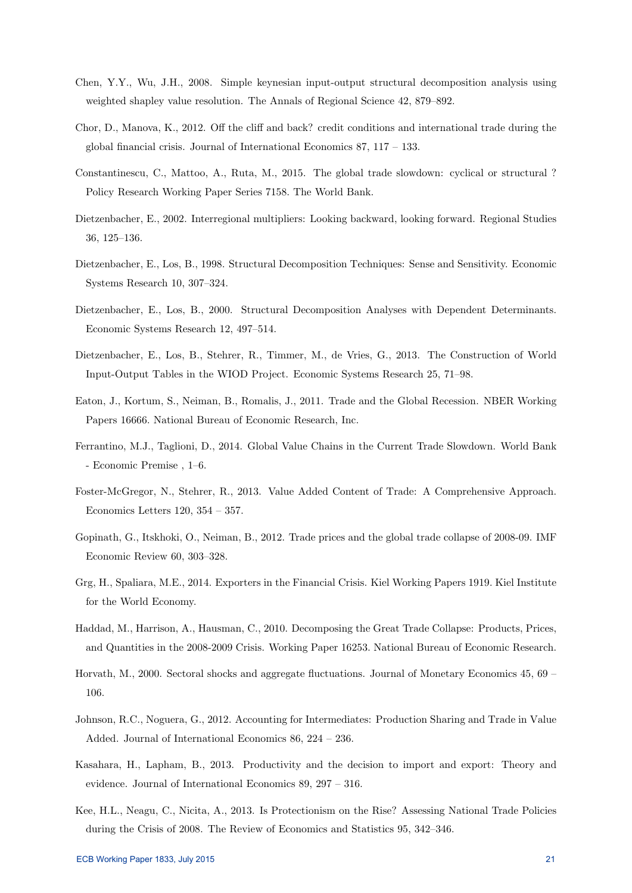- Chen, Y.Y., Wu, J.H., 2008. Simple keynesian input-output structural decomposition analysis using weighted shapley value resolution. The Annals of Regional Science 42, 879–892.
- Chor, D., Manova, K., 2012. Off the cliff and back? credit conditions and international trade during the global financial crisis. Journal of International Economics 87, 117 – 133.
- Constantinescu, C., Mattoo, A., Ruta, M., 2015. The global trade slowdown: cyclical or structural ? Policy Research Working Paper Series 7158. The World Bank.
- Dietzenbacher, E., 2002. Interregional multipliers: Looking backward, looking forward. Regional Studies 36, 125–136.
- Dietzenbacher, E., Los, B., 1998. Structural Decomposition Techniques: Sense and Sensitivity. Economic Systems Research 10, 307–324.
- Dietzenbacher, E., Los, B., 2000. Structural Decomposition Analyses with Dependent Determinants. Economic Systems Research 12, 497–514.
- Dietzenbacher, E., Los, B., Stehrer, R., Timmer, M., de Vries, G., 2013. The Construction of World Input-Output Tables in the WIOD Project. Economic Systems Research 25, 71–98.
- Eaton, J., Kortum, S., Neiman, B., Romalis, J., 2011. Trade and the Global Recession. NBER Working Papers 16666. National Bureau of Economic Research, Inc.
- Ferrantino, M.J., Taglioni, D., 2014. Global Value Chains in the Current Trade Slowdown. World Bank - Economic Premise , 1–6.
- Foster-McGregor, N., Stehrer, R., 2013. Value Added Content of Trade: A Comprehensive Approach. Economics Letters 120, 354 – 357.
- Gopinath, G., Itskhoki, O., Neiman, B., 2012. Trade prices and the global trade collapse of 2008-09. IMF Economic Review 60, 303–328.
- Grg, H., Spaliara, M.E., 2014. Exporters in the Financial Crisis. Kiel Working Papers 1919. Kiel Institute for the World Economy.
- Haddad, M., Harrison, A., Hausman, C., 2010. Decomposing the Great Trade Collapse: Products, Prices, and Quantities in the 2008-2009 Crisis. Working Paper 16253. National Bureau of Economic Research.
- Horvath, M., 2000. Sectoral shocks and aggregate fluctuations. Journal of Monetary Economics 45, 69 106.
- Johnson, R.C., Noguera, G., 2012. Accounting for Intermediates: Production Sharing and Trade in Value Added. Journal of International Economics 86, 224 – 236.
- Kasahara, H., Lapham, B., 2013. Productivity and the decision to import and export: Theory and evidence. Journal of International Economics 89, 297 – 316.
- Kee, H.L., Neagu, C., Nicita, A., 2013. Is Protectionism on the Rise? Assessing National Trade Policies during the Crisis of 2008. The Review of Economics and Statistics 95, 342–346.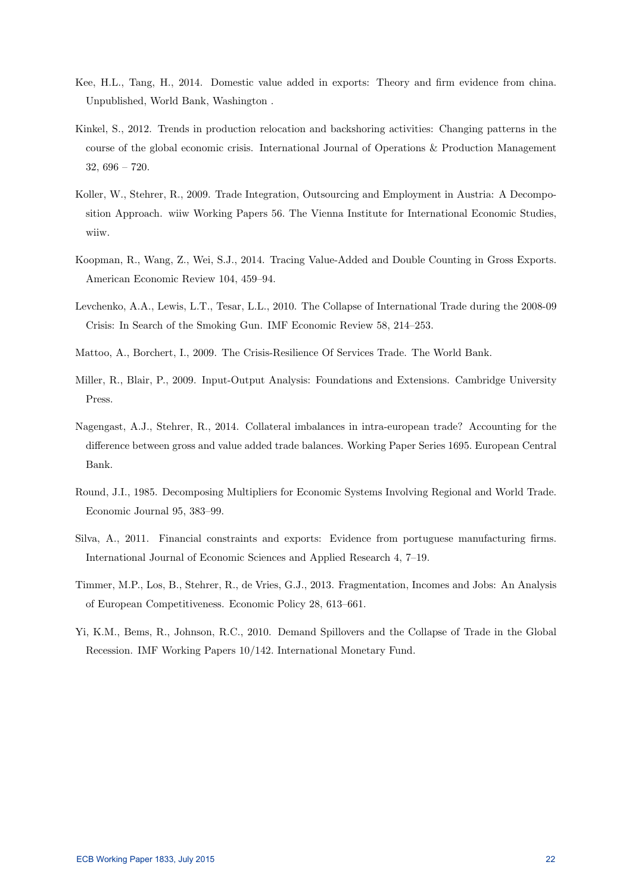- Kee, H.L., Tang, H., 2014. Domestic value added in exports: Theory and firm evidence from china. Unpublished, World Bank, Washington .
- Kinkel, S., 2012. Trends in production relocation and backshoring activities: Changing patterns in the course of the global economic crisis. International Journal of Operations & Production Management 32, 696 – 720.
- Koller, W., Stehrer, R., 2009. Trade Integration, Outsourcing and Employment in Austria: A Decomposition Approach. wiiw Working Papers 56. The Vienna Institute for International Economic Studies, wiiw.
- Koopman, R., Wang, Z., Wei, S.J., 2014. Tracing Value-Added and Double Counting in Gross Exports. American Economic Review 104, 459–94.
- Levchenko, A.A., Lewis, L.T., Tesar, L.L., 2010. The Collapse of International Trade during the 2008-09 Crisis: In Search of the Smoking Gun. IMF Economic Review 58, 214–253.
- Mattoo, A., Borchert, I., 2009. The Crisis-Resilience Of Services Trade. The World Bank.
- Miller, R., Blair, P., 2009. Input-Output Analysis: Foundations and Extensions. Cambridge University Press.
- Nagengast, A.J., Stehrer, R., 2014. Collateral imbalances in intra-european trade? Accounting for the difference between gross and value added trade balances. Working Paper Series 1695. European Central Bank.
- Round, J.I., 1985. Decomposing Multipliers for Economic Systems Involving Regional and World Trade. Economic Journal 95, 383–99.
- Silva, A., 2011. Financial constraints and exports: Evidence from portuguese manufacturing firms. International Journal of Economic Sciences and Applied Research 4, 7–19.
- Timmer, M.P., Los, B., Stehrer, R., de Vries, G.J., 2013. Fragmentation, Incomes and Jobs: An Analysis of European Competitiveness. Economic Policy 28, 613–661.
- Yi, K.M., Bems, R., Johnson, R.C., 2010. Demand Spillovers and the Collapse of Trade in the Global Recession. IMF Working Papers 10/142. International Monetary Fund.